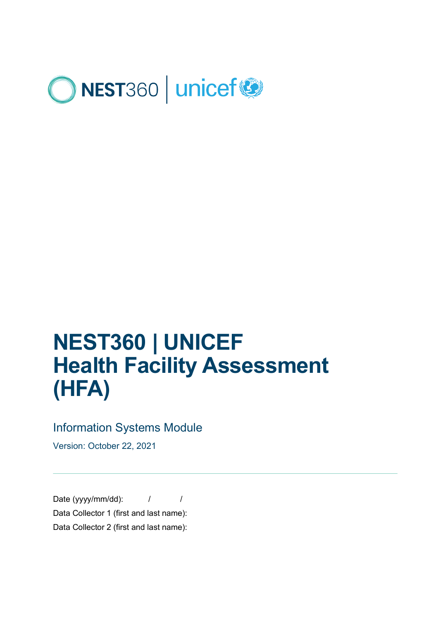

# **NEST360 | UNICEF Health Facility Assessment (HFA)**

### Information Systems Module

Version: October 22, 2021

Date (yyyy/mm/dd):  $/$ Data Collector 1 (first and last name): Data Collector 2 (first and last name):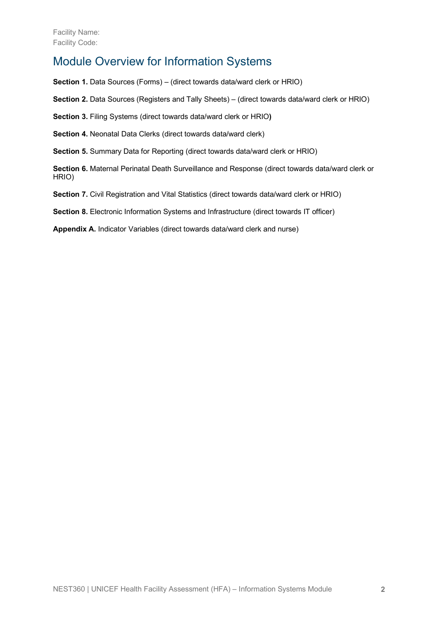### Module Overview for Information Systems

**Section 1.** Data Sources (Forms) – (direct towards data/ward clerk or HRIO)

**Section 2.** Data Sources (Registers and Tally Sheets) – (direct towards data/ward clerk or HRIO)

**Section 3.** Filing Systems (direct towards data/ward clerk or HRIO**)**

**Section 4.** Neonatal Data Clerks (direct towards data/ward clerk)

**Section 5.** Summary Data for Reporting (direct towards data/ward clerk or HRIO)

**Section 6.** Maternal Perinatal Death Surveillance and Response (direct towards data/ward clerk or HRIO)

**Section 7.** Civil Registration and Vital Statistics (direct towards data/ward clerk or HRIO)

**Section 8.** Electronic Information Systems and Infrastructure (direct towards IT officer)

**Appendix A.** Indicator Variables (direct towards data/ward clerk and nurse)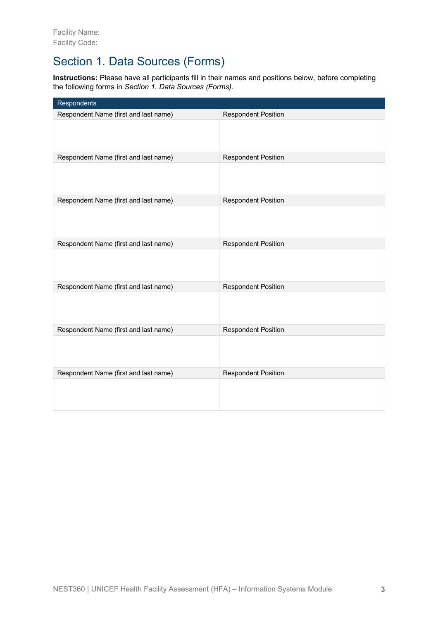# Section 1. Data Sources (Forms)

**Instructions:** Please have all participants fill in their names and positions below, before completing the following forms in *Section 1. Data Sources (Forms)*.

| Respondents                           |                            |
|---------------------------------------|----------------------------|
| Respondent Name (first and last name) | <b>Respondent Position</b> |
|                                       |                            |
| Respondent Name (first and last name) | <b>Respondent Position</b> |
|                                       |                            |
| Respondent Name (first and last name) | <b>Respondent Position</b> |
|                                       |                            |
| Respondent Name (first and last name) | <b>Respondent Position</b> |
|                                       |                            |
| Respondent Name (first and last name) | <b>Respondent Position</b> |
|                                       |                            |
| Respondent Name (first and last name) | <b>Respondent Position</b> |
|                                       |                            |
| Respondent Name (first and last name) | <b>Respondent Position</b> |
|                                       |                            |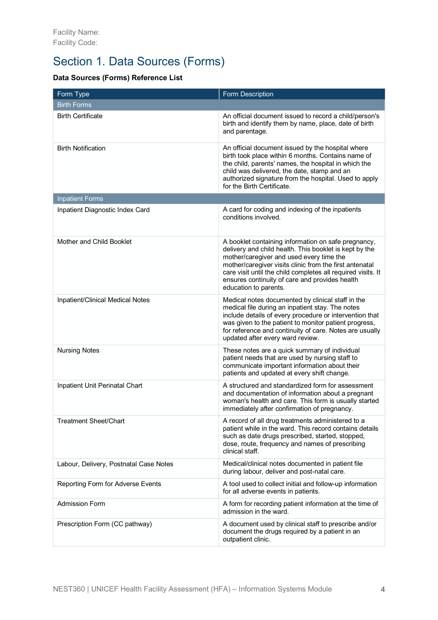# Section 1. Data Sources (Forms)

#### **Data Sources (Forms) Reference List**

| Form Type                              | Form Description                                                                                                                                                                                                                                                                                                                                                |
|----------------------------------------|-----------------------------------------------------------------------------------------------------------------------------------------------------------------------------------------------------------------------------------------------------------------------------------------------------------------------------------------------------------------|
| <b>Birth Forms</b>                     |                                                                                                                                                                                                                                                                                                                                                                 |
| <b>Birth Certificate</b>               | An official document issued to record a child/person's<br>birth and identify them by name, place, date of birth<br>and parentage.                                                                                                                                                                                                                               |
| <b>Birth Notification</b>              | An official document issued by the hospital where<br>birth took place within 6 months. Contains name of<br>the child, parents' names, the hospital in which the<br>child was delivered, the date, stamp and an<br>authorized signature from the hospital. Used to apply<br>for the Birth Certificate.                                                           |
| <b>Inpatient Forms</b>                 |                                                                                                                                                                                                                                                                                                                                                                 |
| Inpatient Diagnostic Index Card        | A card for coding and indexing of the inpatients<br>conditions involved.                                                                                                                                                                                                                                                                                        |
| Mother and Child Booklet               | A booklet containing information on safe pregnancy,<br>delivery and child health. This booklet is kept by the<br>mother/caregiver and used every time the<br>mother/caregiver visits clinic from the first antenatal<br>care visit until the child completes all required visits. It<br>ensures continuity of care and provides health<br>education to parents. |
| Inpatient/Clinical Medical Notes       | Medical notes documented by clinical staff in the<br>medical file during an inpatient stay. The notes<br>include details of every procedure or intervention that<br>was given to the patient to monitor patient progress,<br>for reference and continuity of care. Notes are usually<br>updated after every ward review.                                        |
| <b>Nursing Notes</b>                   | These notes are a quick summary of individual<br>patient needs that are used by nursing staff to<br>communicate important information about their<br>patients and updated at every shift change.                                                                                                                                                                |
| Inpatient Unit Perinatal Chart         | A structured and standardized form for assessment<br>and documentation of information about a pregnant<br>woman's health and care. This form is usually started<br>immediately after confirmation of pregnancy.                                                                                                                                                 |
| <b>Treatment Sheet/Chart</b>           | A record of all drug treatments administered to a<br>patient while in the ward. This record contains details<br>such as date drugs prescribed, started, stopped,<br>dose, route, frequency and names of prescribing<br>clinical staff.                                                                                                                          |
| Labour, Delivery, Postnatal Case Notes | Medical/clinical notes documented in patient file<br>during labour, deliver and post-natal care.                                                                                                                                                                                                                                                                |
| Reporting Form for Adverse Events      | A tool used to collect initial and follow-up information<br>for all adverse events in patients.                                                                                                                                                                                                                                                                 |
| <b>Admission Form</b>                  | A form for recording patient information at the time of<br>admission in the ward.                                                                                                                                                                                                                                                                               |
| Prescription Form (CC pathway)         | A document used by clinical staff to prescribe and/or<br>document the drugs required by a patient in an<br>outpatient clinic.                                                                                                                                                                                                                                   |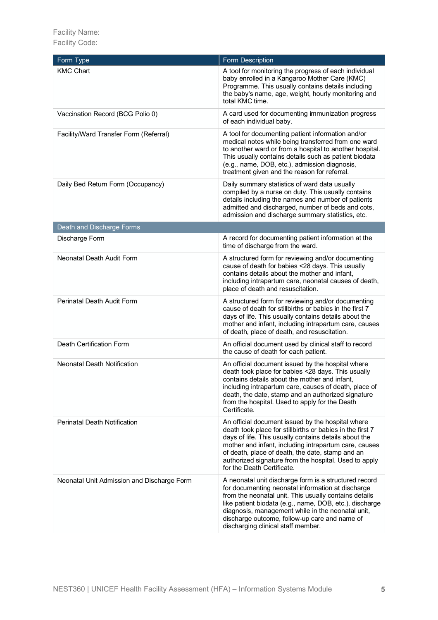Facility Name: Facility Code:

| Form Type                                  | Form Description                                                                                                                                                                                                                                                                                                                                                            |
|--------------------------------------------|-----------------------------------------------------------------------------------------------------------------------------------------------------------------------------------------------------------------------------------------------------------------------------------------------------------------------------------------------------------------------------|
| <b>KMC Chart</b>                           | A tool for monitoring the progress of each individual<br>baby enrolled in a Kangaroo Mother Care (KMC)<br>Programme. This usually contains details including<br>the baby's name, age, weight, hourly monitoring and<br>total KMC time.                                                                                                                                      |
| Vaccination Record (BCG Polio 0)           | A card used for documenting immunization progress<br>of each individual baby.                                                                                                                                                                                                                                                                                               |
| Facility/Ward Transfer Form (Referral)     | A tool for documenting patient information and/or<br>medical notes while being transferred from one ward<br>to another ward or from a hospital to another hospital.<br>This usually contains details such as patient biodata<br>(e.g., name, DOB, etc.), admission diagnosis,<br>treatment given and the reason for referral.                                               |
| Daily Bed Return Form (Occupancy)          | Daily summary statistics of ward data usually<br>compiled by a nurse on duty. This usually contains<br>details including the names and number of patients<br>admitted and discharged, number of beds and cots,<br>admission and discharge summary statistics, etc.                                                                                                          |
| Death and Discharge Forms                  |                                                                                                                                                                                                                                                                                                                                                                             |
| Discharge Form                             | A record for documenting patient information at the<br>time of discharge from the ward.                                                                                                                                                                                                                                                                                     |
| Neonatal Death Audit Form                  | A structured form for reviewing and/or documenting<br>cause of death for babies <28 days. This usually<br>contains details about the mother and infant,<br>including intrapartum care, neonatal causes of death,<br>place of death and resuscitation.                                                                                                                       |
| Perinatal Death Audit Form                 | A structured form for reviewing and/or documenting<br>cause of death for stillbirths or babies in the first 7<br>days of life. This usually contains details about the<br>mother and infant, including intrapartum care, causes<br>of death, place of death, and resuscitation.                                                                                             |
| Death Certification Form                   | An official document used by clinical staff to record<br>the cause of death for each patient.                                                                                                                                                                                                                                                                               |
| Neonatal Death Notification                | An official document issued by the hospital where<br>death took place for babies <28 days. This usually<br>contains details about the mother and infant,<br>including intrapartum care, causes of death, place of<br>death, the date, stamp and an authorized signature<br>from the hospital. Used to apply for the Death<br>Certificate.                                   |
| Perinatal Death Notification               | An official document issued by the hospital where<br>death took place for stillbirths or babies in the first 7<br>days of life. This usually contains details about the<br>mother and infant, including intrapartum care, causes<br>of death, place of death, the date, stamp and an<br>authorized signature from the hospital. Used to apply<br>for the Death Certificate. |
| Neonatal Unit Admission and Discharge Form | A neonatal unit discharge form is a structured record<br>for documenting neonatal information at discharge<br>from the neonatal unit. This usually contains details<br>like patient biodata (e.g., name, DOB, etc.), discharge<br>diagnosis, management while in the neonatal unit,<br>discharge outcome, follow-up care and name of<br>discharging clinical staff member.  |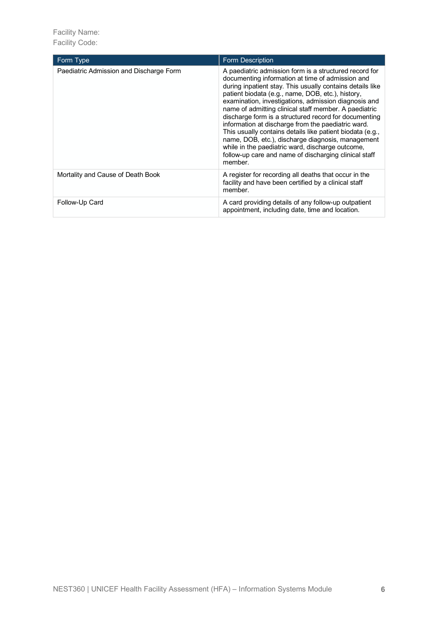Facility Name: Facility Code:

| Form Type                               | Form Description                                                                                                                                                                                                                                                                                                                                                                                                                                                                                                                                                                                                                                                                                       |
|-----------------------------------------|--------------------------------------------------------------------------------------------------------------------------------------------------------------------------------------------------------------------------------------------------------------------------------------------------------------------------------------------------------------------------------------------------------------------------------------------------------------------------------------------------------------------------------------------------------------------------------------------------------------------------------------------------------------------------------------------------------|
| Paediatric Admission and Discharge Form | A paediatric admission form is a structured record for<br>documenting information at time of admission and<br>during inpatient stay. This usually contains details like<br>patient biodata (e.g., name, DOB, etc.), history,<br>examination, investigations, admission diagnosis and<br>name of admitting clinical staff member. A paediatric<br>discharge form is a structured record for documenting<br>information at discharge from the paediatric ward.<br>This usually contains details like patient biodata (e.g.,<br>name, DOB, etc.), discharge diagnosis, management<br>while in the paediatric ward, discharge outcome,<br>follow-up care and name of discharging clinical staff<br>member. |
| Mortality and Cause of Death Book       | A register for recording all deaths that occur in the<br>facility and have been certified by a clinical staff<br>member.                                                                                                                                                                                                                                                                                                                                                                                                                                                                                                                                                                               |
| Follow-Up Card                          | A card providing details of any follow-up outpatient<br>appointment, including date, time and location.                                                                                                                                                                                                                                                                                                                                                                                                                                                                                                                                                                                                |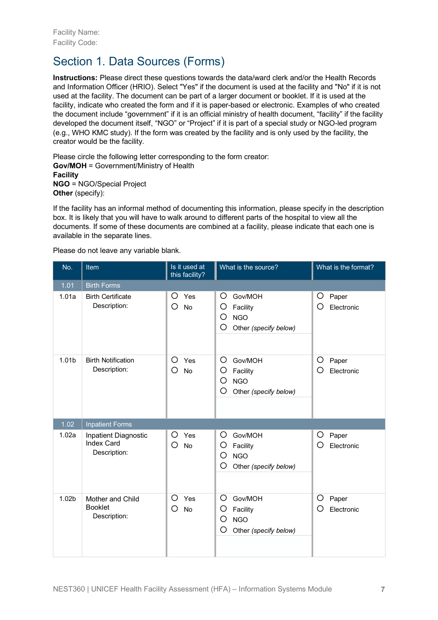# Section 1. Data Sources (Forms)

**Instructions:** Please direct these questions towards the data/ward clerk and/or the Health Records and Information Officer (HRIO). Select "Yes" if the document is used at the facility and "No" if it is not used at the facility. The document can be part of a larger document or booklet. If it is used at the facility, indicate who created the form and if it is paper-based or electronic. Examples of who created the document include "government" if it is an official ministry of health document, "facility" if the facility developed the document itself, "NGO" or "Project" if it is part of a special study or NGO-led program (e.g., WHO KMC study). If the form was created by the facility and is only used by the facility, the creator would be the facility.

Please circle the following letter corresponding to the form creator: **Gov/MOH** = Government/Ministry of Health **Facility**

**NGO** = NGO/Special Project **Other** (specify):

If the facility has an informal method of documenting this information, please specify in the description box. It is likely that you will have to walk around to different parts of the hospital to view all the documents. If some of these documents are combined at a facility, please indicate that each one is available in the separate lines.

Please do not leave any variable blank.

| No.               | Item                                                      | Is it used at<br>this facility? | What is the source?                                                            | What is the format?           |
|-------------------|-----------------------------------------------------------|---------------------------------|--------------------------------------------------------------------------------|-------------------------------|
| 1.01              | <b>Birth Forms</b>                                        |                                 |                                                                                |                               |
| 1.01a             | <b>Birth Certificate</b><br>Description:                  | O<br>Yes<br>O<br><b>No</b>      | O<br>Gov/MOH<br>O<br>Facility<br>O<br><b>NGO</b><br>O<br>Other (specify below) | O<br>Paper<br>O<br>Electronic |
| 1.01 <sub>b</sub> | <b>Birth Notification</b><br>Description:                 | O<br>Yes<br>O<br><b>No</b>      | Gov/MOH<br>O<br>O<br>Facility<br>O<br><b>NGO</b><br>O<br>Other (specify below) | O<br>Paper<br>О<br>Electronic |
| 1.02              | <b>Inpatient Forms</b>                                    |                                 |                                                                                |                               |
| 1.02a             | Inpatient Diagnostic<br><b>Index Card</b><br>Description: | Yes<br>O<br>О<br><b>No</b>      | Gov/MOH<br>O<br>O<br>Facility<br>O<br><b>NGO</b><br>O<br>Other (specify below) | O<br>Paper<br>О<br>Electronic |
| 1.02 <sub>b</sub> | Mother and Child<br><b>Booklet</b><br>Description:        | Ο<br>Yes<br>O<br><b>No</b>      | O<br>Gov/MOH<br>O<br>Facility<br>O<br><b>NGO</b><br>O<br>Other (specify below) | O<br>Paper<br>О<br>Electronic |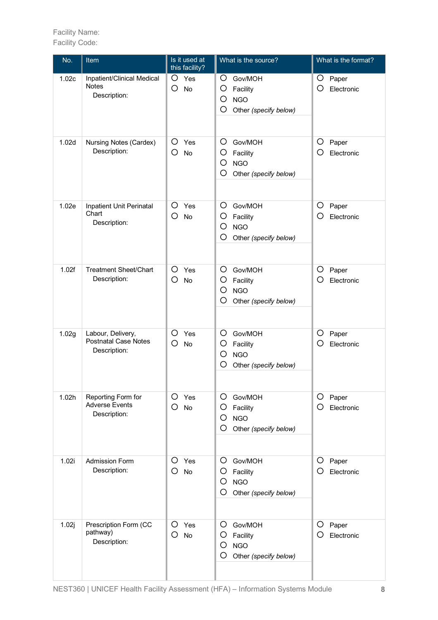| No.   | Item                                                             | Is it used at<br>this facility? | What is the source?                                                                        | What is the format?           |
|-------|------------------------------------------------------------------|---------------------------------|--------------------------------------------------------------------------------------------|-------------------------------|
| 1.02c | Inpatient/Clinical Medical<br><b>Notes</b><br>Description:       | O<br>Yes<br>O<br>No             | O<br>Gov/MOH<br>O<br>Facility<br>O<br><b>NGO</b><br>$\circ$<br>Other (specify below)       | O<br>Paper<br>Ο<br>Electronic |
| 1.02d | Nursing Notes (Cardex)<br>Description:                           | O<br>Yes<br>O<br><b>No</b>      | O<br>Gov/MOH<br>O<br>Facility<br>$\circ$<br><b>NGO</b><br>O<br>Other (specify below)       | O<br>Paper<br>Electronic      |
| 1.02e | Inpatient Unit Perinatal<br>Chart<br>Description:                | O<br>Yes<br>O<br><b>No</b>      | $\circ$<br>Gov/MOH<br>O<br>Facility<br>O<br><b>NGO</b><br>O<br>Other (specify below)       | O<br>Paper<br>О<br>Electronic |
| 1.02f | <b>Treatment Sheet/Chart</b><br>Description:                     | O<br>Yes<br>O<br><b>No</b>      | O<br>Gov/MOH<br>O<br>Facility<br>$\circ$<br><b>NGO</b><br>$\circ$<br>Other (specify below) | O<br>Paper<br>Ω<br>Electronic |
| 1.02g | Labour, Delivery,<br><b>Postnatal Case Notes</b><br>Description: | O<br>Yes<br>O<br><b>No</b>      | O<br>Gov/MOH<br>O<br>Facility<br>O<br><b>NGO</b><br>$\circ$<br>Other (specify below)       | O<br>Paper<br>Electronic      |
| 1.02h | Reporting Form for<br><b>Adverse Events</b><br>Description:      | O<br>Yes<br>Ο<br><b>No</b>      | $\circ$<br>Gov/MOH<br>O<br>Facility<br>O<br><b>NGO</b><br>$\circ$<br>Other (specify below) | O<br>Paper<br>Electronic      |
| 1.02i | <b>Admission Form</b><br>Description:                            | O<br>Yes<br>О<br><b>No</b>      | O<br>Gov/MOH<br>O<br>Facility<br>O<br><b>NGO</b><br>O<br>Other (specify below)             | O<br>Paper<br>Electronic      |
| 1.02j | Prescription Form (CC<br>pathway)<br>Description:                | O<br>Yes<br>O<br>No             | O<br>Gov/MOH<br>O<br>Facility<br>O<br><b>NGO</b><br>O<br>Other (specify below)             | O<br>Paper<br>Electronic      |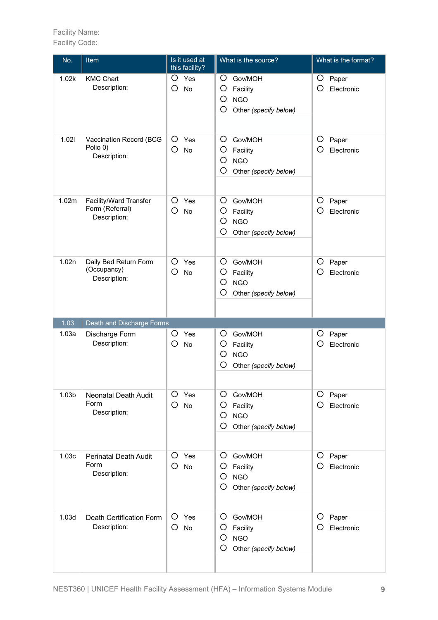| No.   | Item                                                      | Is it used at<br>this facility? | What is the source?                                                                  | What is the format?             |
|-------|-----------------------------------------------------------|---------------------------------|--------------------------------------------------------------------------------------|---------------------------------|
| 1.02k | <b>KMC Chart</b><br>Description:                          | O<br>Yes<br>O<br>No             | O<br>Gov/MOH<br>O<br>Facility<br>O<br><b>NGO</b><br>O<br>Other (specify below)       | O<br>Paper<br>Ο<br>Electronic   |
| 1.021 | Vaccination Record (BCG<br>Polio 0)<br>Description:       | O<br>Yes<br>O<br>No             | O<br>Gov/MOH<br>O<br>Facility<br>O<br><b>NGO</b><br>O<br>Other (specify below)       | O<br>Paper<br>Ω<br>Electronic   |
| 1.02m | Facility/Ward Transfer<br>Form (Referral)<br>Description: | O<br>Yes<br>О<br><b>No</b>      | O<br>Gov/MOH<br>O<br>Facility<br>O<br><b>NGO</b><br>O<br>Other (specify below)       | O<br>Paper<br>Electronic<br>( ) |
| 1.02n | Daily Bed Return Form<br>(Occupancy)<br>Description:      | O<br>Yes<br>O<br><b>No</b>      | O<br>Gov/MOH<br>O<br>Facility<br>$\circ$<br><b>NGO</b><br>O<br>Other (specify below) | O<br>Paper<br>O<br>Electronic   |
| 1.03  | Death and Discharge Forms                                 |                                 |                                                                                      |                                 |
| 1.03a | Discharge Form<br>Description:                            | O<br>Yes<br>O<br><b>No</b>      | Gov/MOH<br>Ő<br>O<br>Facility<br>O<br><b>NGO</b><br>O<br>Other (specify below)       | O<br>Paper<br>Electronic        |
| 1.03b | Neonatal Death Audit<br>Form<br>Description:              | O<br>Yes<br>O<br><b>No</b>      | O<br>Gov/MOH<br>O<br>Facility<br>O<br><b>NGO</b><br>O<br>Other (specify below)       | O<br>Paper<br>Electronic        |
| 1.03c | <b>Perinatal Death Audit</b><br>Form<br>Description:      | O<br>Yes<br>O<br><b>No</b>      | O<br>Gov/MOH<br>O<br>Facility<br>O<br><b>NGO</b><br>O<br>Other (specify below)       | Paper<br>Ő<br>Electronic        |
| 1.03d | Death Certification Form<br>Description:                  | O<br>Yes<br>O<br>No             | O<br>Gov/MOH<br>O<br>Facility<br>O<br><b>NGO</b><br>O<br>Other (specify below)       | O<br>Paper<br>Electronic        |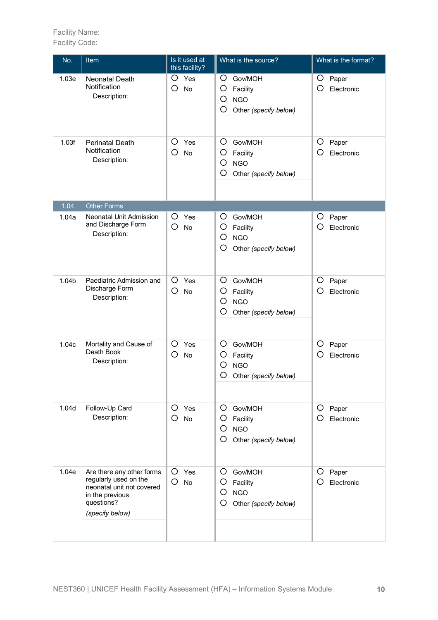| No.   | Item                                                                                                                                | Is it used at<br>this facility? | What is the source?                                                                        | What is the format?           |
|-------|-------------------------------------------------------------------------------------------------------------------------------------|---------------------------------|--------------------------------------------------------------------------------------------|-------------------------------|
| 1.03e | <b>Neonatal Death</b><br>Notification<br>Description:                                                                               | O<br>Yes<br>O<br><b>No</b>      | O<br>Gov/MOH<br>O<br>Facility<br>O<br><b>NGO</b><br>O<br>Other (specify below)             | O<br>Paper<br>Ω<br>Electronic |
| 1.03f | <b>Perinatal Death</b><br>Notification<br>Description:                                                                              | O<br>Yes<br>O<br><b>No</b>      | O<br>Gov/MOH<br>O<br>Facility<br>$\circ$<br><b>NGO</b><br>O<br>Other (specify below)       | O<br>Paper<br>Ο<br>Electronic |
| 1.04  | <b>Other Forms</b>                                                                                                                  |                                 |                                                                                            |                               |
| 1.04a | Neonatal Unit Admission<br>and Discharge Form<br>Description:                                                                       | O<br>Yes<br>O<br><b>No</b>      | O<br>Gov/MOH<br>O<br>Facility<br>$\circ$<br><b>NGO</b><br>$\circ$<br>Other (specify below) | O<br>Paper<br>Ω<br>Electronic |
| 1.04b | Paediatric Admission and<br>Discharge Form<br>Description:                                                                          | O<br>Yes<br>O<br><b>No</b>      | O<br>Gov/MOH<br>O<br>Facility<br>O<br><b>NGO</b><br>O<br>Other (specify below)             | O<br>Paper<br>Electronic      |
| 1.04c | Mortality and Cause of<br>Death Book<br>Description:                                                                                | O<br>Yes<br>O<br><b>No</b>      | O<br>Gov/MOH<br>O<br>Facility<br>O<br><b>NGO</b><br>O<br>Other (specify below)             | O<br>Paper<br>Electronic      |
| 1.04d | Follow-Up Card<br>Description:                                                                                                      | O<br>Yes<br>О<br><b>No</b>      | $\circ$<br>Gov/MOH<br>O<br>Facility<br>O<br><b>NGO</b><br>O<br>Other (specify below)       | O<br>Paper<br>Electronic      |
| 1.04e | Are there any other forms<br>regularly used on the<br>neonatal unit not covered<br>in the previous<br>questions?<br>(specify below) | O<br>Yes<br>O<br>No             | O<br>Gov/MOH<br>O<br>Facility<br>O<br><b>NGO</b><br>O<br>Other (specify below)             | Paper<br>Ő<br>Electronic      |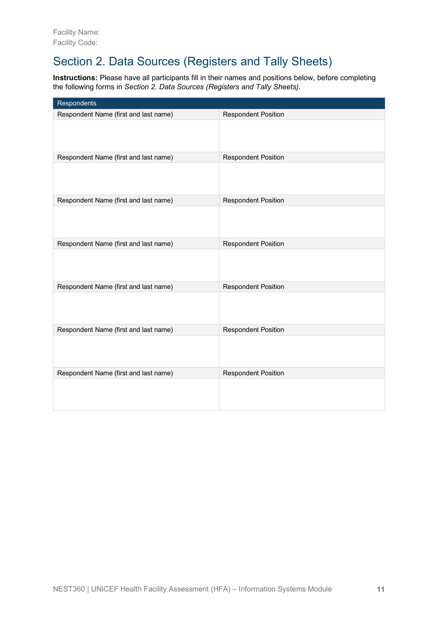# Section 2. Data Sources (Registers and Tally Sheets)

**Instructions:** Please have all participants fill in their names and positions below, before completing the following forms in *Section 2. Data Sources (Registers and Tally Sheets)*.

| Respondents                           |                            |
|---------------------------------------|----------------------------|
| Respondent Name (first and last name) | <b>Respondent Position</b> |
|                                       |                            |
| Respondent Name (first and last name) | <b>Respondent Position</b> |
|                                       |                            |
| Respondent Name (first and last name) | <b>Respondent Position</b> |
|                                       |                            |
| Respondent Name (first and last name) | <b>Respondent Position</b> |
|                                       |                            |
| Respondent Name (first and last name) | <b>Respondent Position</b> |
|                                       |                            |
| Respondent Name (first and last name) | <b>Respondent Position</b> |
|                                       |                            |
| Respondent Name (first and last name) | <b>Respondent Position</b> |
|                                       |                            |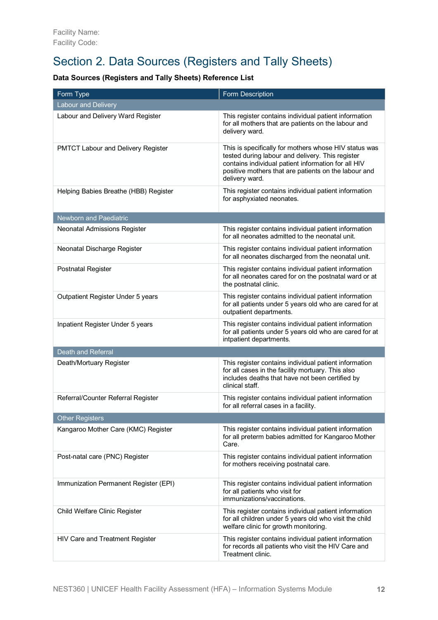# Section 2. Data Sources (Registers and Tally Sheets)

#### **Data Sources (Registers and Tally Sheets) Reference List**

| Form Type                                 | Form Description                                                                                                                                                                                                                           |
|-------------------------------------------|--------------------------------------------------------------------------------------------------------------------------------------------------------------------------------------------------------------------------------------------|
| <b>Labour and Delivery</b>                |                                                                                                                                                                                                                                            |
| Labour and Delivery Ward Register         | This register contains individual patient information<br>for all mothers that are patients on the labour and<br>delivery ward.                                                                                                             |
| <b>PMTCT Labour and Delivery Register</b> | This is specifically for mothers whose HIV status was<br>tested during labour and delivery. This register<br>contains individual patient information for all HIV<br>positive mothers that are patients on the labour and<br>delivery ward. |
| Helping Babies Breathe (HBB) Register     | This register contains individual patient information<br>for asphyxiated neonates.                                                                                                                                                         |
| <b>Newborn and Paediatric</b>             |                                                                                                                                                                                                                                            |
| Neonatal Admissions Register              | This register contains individual patient information<br>for all neonates admitted to the neonatal unit.                                                                                                                                   |
| Neonatal Discharge Register               | This register contains individual patient information<br>for all neonates discharged from the neonatal unit.                                                                                                                               |
| <b>Postnatal Register</b>                 | This register contains individual patient information<br>for all neonates cared for on the postnatal ward or at<br>the postnatal clinic.                                                                                                   |
| Outpatient Register Under 5 years         | This register contains individual patient information<br>for all patients under 5 years old who are cared for at<br>outpatient departments.                                                                                                |
| Inpatient Register Under 5 years          | This register contains individual patient information<br>for all patients under 5 years old who are cared for at<br>intpatient departments.                                                                                                |
| <b>Death and Referral</b>                 |                                                                                                                                                                                                                                            |
| Death/Mortuary Register                   | This register contains individual patient information<br>for all cases in the facility mortuary. This also<br>includes deaths that have not been certified by<br>clinical staff.                                                           |
| Referral/Counter Referral Register        | This register contains individual patient information<br>for all referral cases in a facility.                                                                                                                                             |
| Other Registers                           |                                                                                                                                                                                                                                            |
| Kangaroo Mother Care (KMC) Register       | This register contains individual patient information<br>for all preterm babies admitted for Kangaroo Mother<br>Care.                                                                                                                      |
| Post-natal care (PNC) Register            | This register contains individual patient information<br>for mothers receiving postnatal care.                                                                                                                                             |
| Immunization Permanent Register (EPI)     | This register contains individual patient information<br>for all patients who visit for<br>immunizations/vaccinations.                                                                                                                     |
| Child Welfare Clinic Register             | This register contains individual patient information<br>for all children under 5 years old who visit the child<br>welfare clinic for growth monitoring.                                                                                   |
| HIV Care and Treatment Register           | This register contains individual patient information<br>for records all patients who visit the HIV Care and<br>Treatment clinic.                                                                                                          |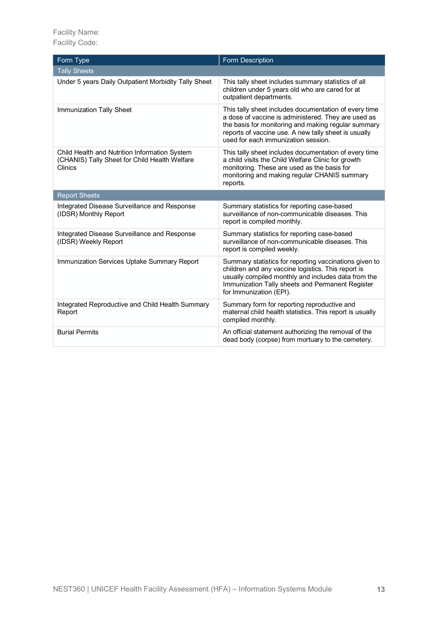| Form Type                                                                                                 | Form Description                                                                                                                                                                                                                                                   |
|-----------------------------------------------------------------------------------------------------------|--------------------------------------------------------------------------------------------------------------------------------------------------------------------------------------------------------------------------------------------------------------------|
| <b>Tally Sheets</b>                                                                                       |                                                                                                                                                                                                                                                                    |
| Under 5 years Daily Outpatient Morbidity Tally Sheet                                                      | This tally sheet includes summary statistics of all<br>children under 5 years old who are cared for at<br>outpatient departments.                                                                                                                                  |
| Immunization Tally Sheet                                                                                  | This tally sheet includes documentation of every time<br>a dose of vaccine is administered. They are used as<br>the basis for monitoring and making regular summary<br>reports of vaccine use. A new tally sheet is usually<br>used for each immunization session. |
| Child Health and Nutrition Information System<br>(CHANIS) Tally Sheet for Child Health Welfare<br>Clinics | This tally sheet includes documentation of every time<br>a child visits the Child Welfare Clinic for growth<br>monitoring. These are used as the basis for<br>monitoring and making regular CHANIS summary<br>reports.                                             |
| <b>Report Sheets</b>                                                                                      |                                                                                                                                                                                                                                                                    |
| Integrated Disease Surveillance and Response<br>(IDSR) Monthly Report                                     | Summary statistics for reporting case-based<br>surveillance of non-communicable diseases. This<br>report is compiled monthly.                                                                                                                                      |
| Integrated Disease Surveillance and Response<br>(IDSR) Weekly Report                                      | Summary statistics for reporting case-based<br>surveillance of non-communicable diseases. This<br>report is compiled weekly.                                                                                                                                       |
| Immunization Services Uptake Summary Report                                                               | Summary statistics for reporting vaccinations given to<br>children and any vaccine logistics. This report is<br>usually compiled monthly and includes data from the<br>Immunization Tally sheets and Permanent Register<br>for Immunization (EPI).                 |
| Integrated Reproductive and Child Health Summary<br>Report                                                | Summary form for reporting reproductive and<br>maternal child health statistics. This report is usually<br>compiled monthly.                                                                                                                                       |
| <b>Burial Permits</b>                                                                                     | An official statement authorizing the removal of the<br>dead body (corpse) from mortuary to the cemetery.                                                                                                                                                          |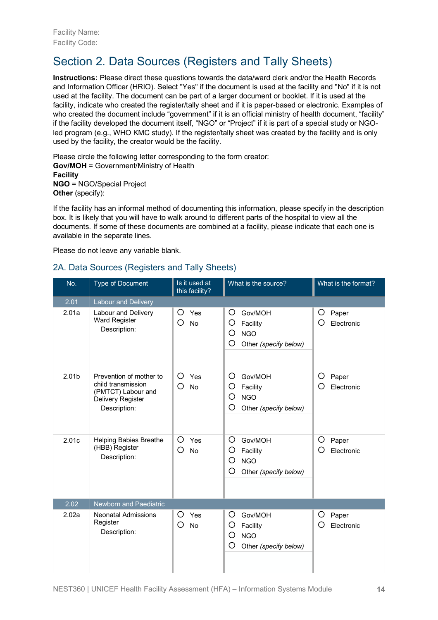# Section 2. Data Sources (Registers and Tally Sheets)

**Instructions:** Please direct these questions towards the data/ward clerk and/or the Health Records and Information Officer (HRIO). Select "Yes" if the document is used at the facility and "No" if it is not used at the facility. The document can be part of a larger document or booklet. If it is used at the facility, indicate who created the register/tally sheet and if it is paper-based or electronic. Examples of who created the document include "government" if it is an official ministry of health document, "facility" if the facility developed the document itself, "NGO" or "Project" if it is part of a special study or NGOled program (e.g., WHO KMC study). If the register/tally sheet was created by the facility and is only used by the facility, the creator would be the facility.

Please circle the following letter corresponding to the form creator:

**Gov/MOH** = Government/Ministry of Health **Facility NGO** = NGO/Special Project **Other** (specify):

If the facility has an informal method of documenting this information, please specify in the description box. It is likely that you will have to walk around to different parts of the hospital to view all the documents. If some of these documents are combined at a facility, please indicate that each one is available in the separate lines.

Please do not leave any variable blank.

#### 2A. Data Sources (Registers and Tally Sheets)

| No.               | <b>Type of Document</b>                                                                                  | Is it used at<br>this facility? | What is the source?                                                            | What is the format?           |
|-------------------|----------------------------------------------------------------------------------------------------------|---------------------------------|--------------------------------------------------------------------------------|-------------------------------|
| 2.01              | <b>Labour and Delivery</b>                                                                               |                                 |                                                                                |                               |
| 2.01a             | Labour and Delivery<br><b>Ward Register</b><br>Description:                                              | Ο<br>Yes<br>O<br><b>No</b>      | O<br>Gov/MOH<br>O<br>Facility<br>O<br><b>NGO</b><br>O<br>Other (specify below) | O<br>Paper<br>О<br>Electronic |
| 2.01 <sub>b</sub> | Prevention of mother to<br>child transmission<br>(PMTCT) Labour and<br>Delivery Register<br>Description: | O<br>Yes<br>O<br><b>No</b>      | O<br>Gov/MOH<br>O<br>Facility<br>O<br><b>NGO</b><br>O<br>Other (specify below) | O<br>Paper<br>O<br>Electronic |
| 2.01c             | <b>Helping Babies Breathe</b><br>(HBB) Register<br>Description:                                          | O<br>Yes<br>Ο<br>No             | O<br>Gov/MOH<br>O<br>Facility<br>O<br><b>NGO</b><br>O<br>Other (specify below) | O<br>Paper<br>O<br>Electronic |
| 2.02              | Newborn and Paediatric                                                                                   |                                 |                                                                                |                               |
| 2.02a             | <b>Neonatal Admissions</b><br>Register<br>Description:                                                   | O<br>Yes<br>O<br>No             | Gov/MOH<br>O<br>O<br>Facility<br>O<br><b>NGO</b><br>O<br>Other (specify below) | O<br>Paper<br>O<br>Electronic |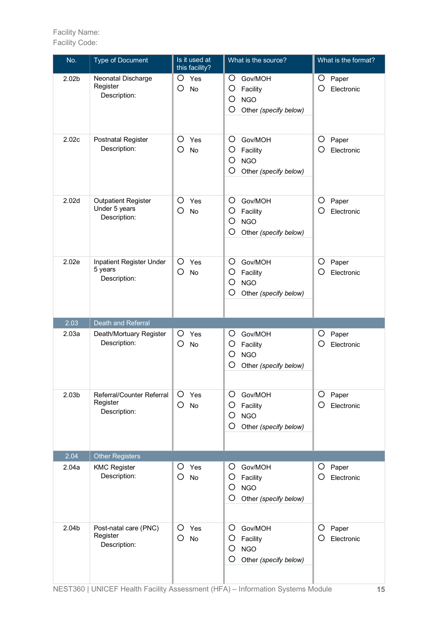| No.               | <b>Type of Document</b>                                     | Is it used at<br>this facility? | What is the source?                                                                  | What is the format?                 |
|-------------------|-------------------------------------------------------------|---------------------------------|--------------------------------------------------------------------------------------|-------------------------------------|
| 2.02 <sub>b</sub> | Neonatal Discharge<br>Register<br>Description:              | O<br>Yes<br>O<br>No             | O<br>Gov/MOH<br>O<br>Facility<br>O<br><b>NGO</b><br>O<br>Other (specify below)       | O<br>Paper<br>O<br>Electronic       |
| 2.02c             | <b>Postnatal Register</b><br>Description:                   | O<br>Yes<br>O<br><b>No</b>      | O<br>Gov/MOH<br>O<br>Facility<br>O<br><b>NGO</b><br>O<br>Other (specify below)       | $\circ$<br>Paper<br>O<br>Electronic |
| 2.02 <sub>d</sub> | <b>Outpatient Register</b><br>Under 5 years<br>Description: | O<br>Yes<br>O<br><b>No</b>      | O<br>Gov/MOH<br>O<br>Facility<br>O<br><b>NGO</b><br>O<br>Other (specify below)       | O<br>Paper<br>O<br>Electronic       |
| 2.02e             | Inpatient Register Under<br>5 years<br>Description:         | O<br>Yes<br>$\circ$<br>No       | O<br>Gov/MOH<br>O<br>Facility<br>$\circ$<br><b>NGO</b><br>O<br>Other (specify below) | O<br>Paper<br>О<br>Electronic       |
| 2.03              | Death and Referral                                          |                                 |                                                                                      |                                     |
| 2.03a             | Death/Mortuary Register<br>Description:                     | O<br>Yes<br>O<br>No             | Gov/MOH<br>O<br>O<br>Facility<br>O<br><b>NGO</b><br>O<br>Other (specify below)       | O<br>Paper<br>O<br>Electronic       |
| 2.03 <sub>b</sub> | Referral/Counter Referral<br>Register<br>Description:       | O<br>Yes<br>O<br><b>No</b>      | O<br>Gov/MOH<br>O<br>Facility<br>O<br><b>NGO</b><br>O<br>Other (specify below)       | O<br>Paper<br>Ο<br>Electronic       |
| 2.04              | <b>Other Registers</b>                                      |                                 |                                                                                      |                                     |
| 2.04a             | <b>KMC Register</b><br>Description:                         | O<br>Yes<br>O<br><b>No</b>      | O<br>Gov/MOH<br>O<br>Facility<br>O<br><b>NGO</b><br>O<br>Other (specify below)       | O<br>Paper<br>O<br>Electronic       |
| 2.04b             | Post-natal care (PNC)<br>Register<br>Description:           | O<br>Yes<br>O<br><b>No</b>      | O<br>Gov/MOH<br>O<br>Facility<br>O<br><b>NGO</b><br>O<br>Other (specify below)       | O<br>Paper<br>O<br>Electronic       |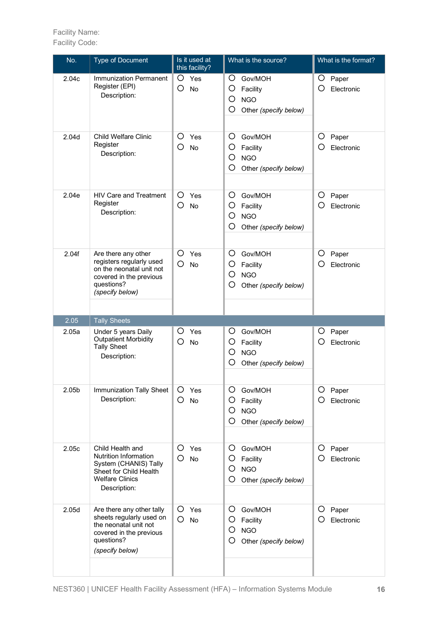| No.               | <b>Type of Document</b>                                                                                                                       | Is it used at<br>this facility?  | What is the source?                                                            | What is the format?           |
|-------------------|-----------------------------------------------------------------------------------------------------------------------------------------------|----------------------------------|--------------------------------------------------------------------------------|-------------------------------|
| 2.04c             | <b>Immunization Permanent</b><br>Register (EPI)<br>Description:                                                                               | O<br>Yes<br>O<br>No              | O<br>Gov/MOH<br>O<br>Facility<br>O<br><b>NGO</b><br>O<br>Other (specify below) | O<br>Paper<br>O<br>Electronic |
| 2.04d             | <b>Child Welfare Clinic</b><br>Register<br>Description:                                                                                       | O<br>Yes<br>O<br><b>No</b>       | O<br>Gov/MOH<br>O<br>Facility<br>O<br><b>NGO</b><br>O<br>Other (specify below) | O<br>Paper<br>O<br>Electronic |
| 2.04e             | <b>HIV Care and Treatment</b><br>Register<br>Description:                                                                                     | O<br>Yes<br>$\circ$<br><b>No</b> | O<br>Gov/MOH<br>O<br>Facility<br>O<br><b>NGO</b><br>O<br>Other (specify below) | O<br>Paper<br>O<br>Electronic |
| 2.04f             | Are there any other<br>registers regularly used<br>on the neonatal unit not<br>covered in the previous<br>questions?<br>(specify below)       | O<br>Yes<br>O<br>No              | O<br>Gov/MOH<br>O<br>Facility<br>O<br><b>NGO</b><br>O<br>Other (specify below) | O<br>Paper<br>О<br>Electronic |
| 2.05              | <b>Tally Sheets</b>                                                                                                                           |                                  |                                                                                |                               |
| 2.05a             | Under 5 years Daily<br><b>Outpatient Morbidity</b><br><b>Tally Sheet</b><br>Description:                                                      | Ο<br>Yes<br>O<br><b>No</b>       | O<br>Gov/MOH<br>O<br>Facility<br>O<br><b>NGO</b><br>O<br>Other (specify below) | O<br>Paper<br>O<br>Electronic |
| 2.05 <sub>b</sub> | Immunization Tally Sheet<br>Description:                                                                                                      | O<br>Yes<br>O<br>No              | O<br>Gov/MOH<br>O<br>Facility<br>O<br><b>NGO</b><br>O<br>Other (specify below) | O<br>Paper<br>Electronic<br>Ő |
| 2.05c             | Child Health and<br><b>Nutrition Information</b><br>System (CHANIS) Tally<br>Sheet for Child Health<br><b>Welfare Clinics</b><br>Description: | O<br>Yes<br>O<br>No              | O<br>Gov/MOH<br>O<br>Facility<br>O<br><b>NGO</b><br>O<br>Other (specify below) | O<br>Paper<br>Ο<br>Electronic |
| 2.05d             | Are there any other tally<br>sheets regularly used on<br>the neonatal unit not<br>covered in the previous<br>questions?<br>(specify below)    | O<br>Yes<br>O<br>No              | O<br>Gov/MOH<br>O<br>Facility<br>O<br><b>NGO</b><br>O<br>Other (specify below) | O<br>Paper<br>Ő<br>Electronic |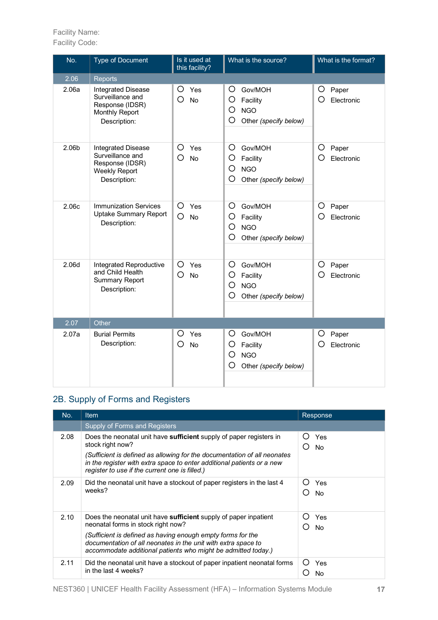Facility Code:

| No.   | <b>Type of Document</b>                                                                                  | Is it used at<br>this facility?  | What is the source?                                                            | What is the format?           |
|-------|----------------------------------------------------------------------------------------------------------|----------------------------------|--------------------------------------------------------------------------------|-------------------------------|
| 2.06  | Reports                                                                                                  |                                  |                                                                                |                               |
| 2.06a | <b>Integrated Disease</b><br>Surveillance and<br>Response (IDSR)<br>Monthly Report<br>Description:       | O<br>Yes<br>O<br><b>No</b>       | Gov/MOH<br>Ő<br>O<br>Facility<br>O<br><b>NGO</b><br>O<br>Other (specify below) | O<br>Paper<br>O<br>Electronic |
| 2.06b | <b>Integrated Disease</b><br>Surveillance and<br>Response (IDSR)<br><b>Weekly Report</b><br>Description: | O<br>Yes<br>O<br><b>No</b>       | Gov/MOH<br>O<br>O<br>Facility<br>O<br><b>NGO</b><br>O<br>Other (specify below) | O<br>Paper<br>O<br>Electronic |
| 2.06c | <b>Immunization Services</b><br><b>Uptake Summary Report</b><br>Description:                             | O<br>Yes<br>$\circ$<br><b>No</b> | O<br>Gov/MOH<br>O<br>Facility<br>O<br><b>NGO</b><br>O<br>Other (specify below) | O<br>Paper<br>O<br>Electronic |
| 2.06d | Integrated Reproductive<br>and Child Health<br><b>Summary Report</b><br>Description:                     | O<br>Yes<br>О<br>No              | O<br>Gov/MOH<br>O<br>Facility<br>O<br><b>NGO</b><br>O<br>Other (specify below) | O<br>Paper<br>O<br>Electronic |
| 2.07  | Other                                                                                                    |                                  |                                                                                |                               |
| 2.07a | <b>Burial Permits</b><br>Description:                                                                    | O<br>Yes<br>О<br>No              | O<br>Gov/MOH<br>O<br>Facility<br>O<br><b>NGO</b><br>O<br>Other (specify below) | O<br>Paper<br>Ο<br>Electronic |

#### 2B. Supply of Forms and Registers

| No.  | Item.                                                                                                                                                                                                                                                                                                   | Response                      |
|------|---------------------------------------------------------------------------------------------------------------------------------------------------------------------------------------------------------------------------------------------------------------------------------------------------------|-------------------------------|
|      | Supply of Forms and Registers                                                                                                                                                                                                                                                                           |                               |
| 2.08 | Does the neonatal unit have sufficient supply of paper registers in<br>stock right now?<br>(Sufficient is defined as allowing for the documentation of all neonates<br>in the register with extra space to enter additional patients or a new<br>register to use if the current one is filled.)         | Yes<br>()<br><b>No</b><br>( ) |
| 2.09 | Did the neonatal unit have a stockout of paper registers in the last 4<br>weeks?                                                                                                                                                                                                                        | Yes<br>No                     |
| 2.10 | Does the neonatal unit have sufficient supply of paper inpatient<br>neonatal forms in stock right now?<br>(Sufficient is defined as having enough empty forms for the<br>documentation of all neonates in the unit with extra space to<br>accommodate additional patients who might be admitted today.) | Yes<br>( )<br><b>No</b>       |
| 2.11 | Did the neonatal unit have a stockout of paper inpatient neonatal forms<br>in the last 4 weeks?                                                                                                                                                                                                         | Yes<br>( )<br>No              |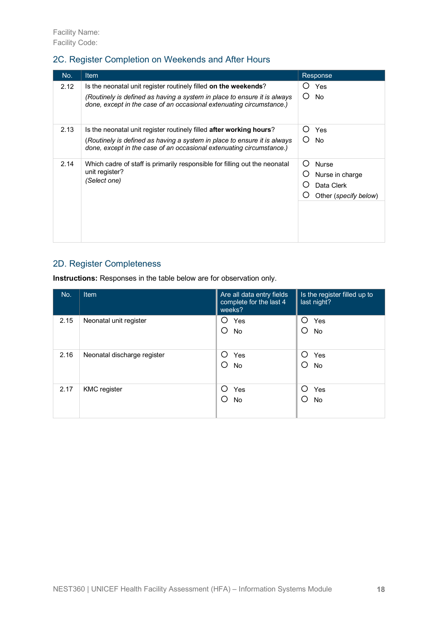#### 2C. Register Completion on Weekends and After Hours

| No.  | <b>Item</b>                                                                                                                                      | Response                               |
|------|--------------------------------------------------------------------------------------------------------------------------------------------------|----------------------------------------|
| 2.12 | Is the neonatal unit register routinely filled on the weekends?<br>(Routinely is defined as having a system in place to ensure it is always      | Yes<br><b>No</b><br>( )                |
|      | done, except in the case of an occasional extenuating circumstance.)                                                                             |                                        |
| 2.13 | Is the neonatal unit register routinely filled <b>after working hours</b> ?                                                                      | Yes<br>()                              |
|      | (Routinely is defined as having a system in place to ensure it is always<br>done, except in the case of an occasional extenuating circumstance.) | <b>No</b><br>( )                       |
| 2.14 | Which cadre of staff is primarily responsible for filling out the neonatal                                                                       | <b>Nurse</b><br>$\left( \quad \right)$ |
|      | unit register?<br>(Select one)                                                                                                                   | Nurse in charge                        |
|      |                                                                                                                                                  | Data Clerk                             |
|      |                                                                                                                                                  | Other (specify below)                  |
|      |                                                                                                                                                  |                                        |
|      |                                                                                                                                                  |                                        |

#### 2D. Register Completeness

**Instructions:** Responses in the table below are for observation only.

| No.  | Item                        | Are all data entry fields<br>complete for the last 4<br>weeks? | Is the register filled up to<br>last night? |
|------|-----------------------------|----------------------------------------------------------------|---------------------------------------------|
| 2.15 | Neonatal unit register      | Yes<br>O<br>O<br><b>No</b>                                     | ∩<br>Yes<br>О<br><b>No</b>                  |
| 2.16 | Neonatal discharge register | ∩<br>Yes<br>O<br><b>No</b>                                     | ∩<br>Yes<br>Ω<br>No                         |
| 2.17 | <b>KMC</b> register         | ∩<br>Yes<br>∩<br><b>No</b>                                     | $\bigcap$<br>Yes<br>∩<br><b>No</b>          |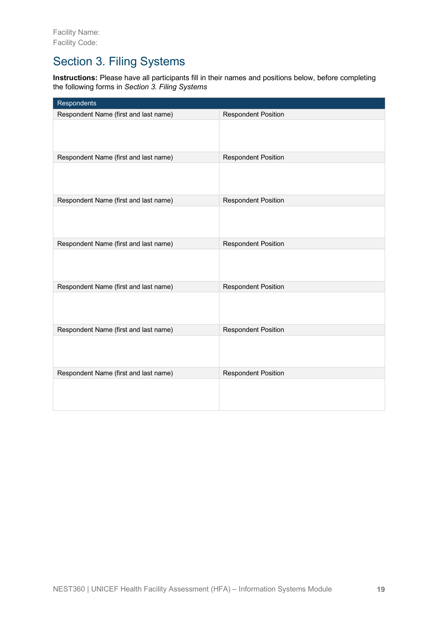### Section 3. Filing Systems

**Instructions:** Please have all participants fill in their names and positions below, before completing the following forms in *Section 3. Filing Systems*

| Respondents                           |                            |
|---------------------------------------|----------------------------|
| Respondent Name (first and last name) | <b>Respondent Position</b> |
|                                       |                            |
| Respondent Name (first and last name) | <b>Respondent Position</b> |
|                                       |                            |
| Respondent Name (first and last name) | <b>Respondent Position</b> |
|                                       |                            |
| Respondent Name (first and last name) | <b>Respondent Position</b> |
|                                       |                            |
| Respondent Name (first and last name) | <b>Respondent Position</b> |
|                                       |                            |
| Respondent Name (first and last name) | <b>Respondent Position</b> |
|                                       |                            |
| Respondent Name (first and last name) | <b>Respondent Position</b> |
|                                       |                            |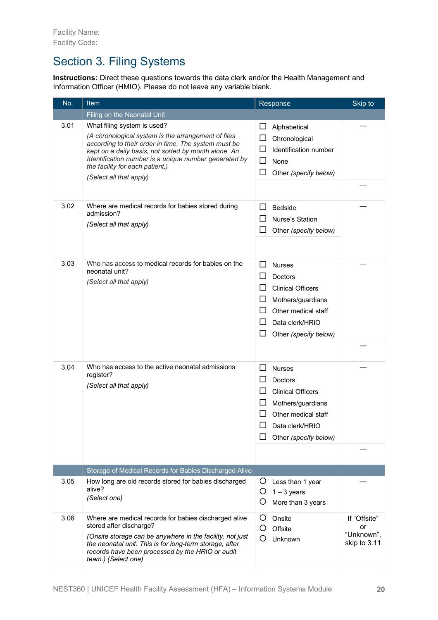### Section 3. Filing Systems

**Instructions:** Direct these questions towards the data clerk and/or the Health Management and Information Officer (HMIO). Please do not leave any variable blank.

| No.  | <b>Item</b>                                                                                                                                                                                                                                                                                                               | Response                                                                                                                                                          | Skip to                                          |
|------|---------------------------------------------------------------------------------------------------------------------------------------------------------------------------------------------------------------------------------------------------------------------------------------------------------------------------|-------------------------------------------------------------------------------------------------------------------------------------------------------------------|--------------------------------------------------|
|      | Filing on the Neonatal Unit                                                                                                                                                                                                                                                                                               |                                                                                                                                                                   |                                                  |
| 3.01 | What filing system is used?<br>(A chronological system is the arrangement of files<br>according to their order in time. The system must be<br>kept on a daily basis, not sorted by month alone. An<br>Identification number is a unique number generated by<br>the facility for each patient.)<br>(Select all that apply) | ப<br>Alphabetical<br>Chronological<br>Identification number<br>$\blacksquare$<br>ΙI<br>None<br>$\overline{\phantom{0}}$<br>Other (specify below)                  |                                                  |
|      |                                                                                                                                                                                                                                                                                                                           |                                                                                                                                                                   |                                                  |
| 3.02 | Where are medical records for babies stored during<br>admission?<br>(Select all that apply)                                                                                                                                                                                                                               | ΙI<br><b>Bedside</b><br>Nurse's Station<br>Other (specify below)                                                                                                  |                                                  |
| 3.03 | Who has access to medical records for babies on the<br>neonatal unit?<br>(Select all that apply)                                                                                                                                                                                                                          | ΙI<br><b>Nurses</b><br>Doctors<br><b>Clinical Officers</b><br>Mothers/guardians<br>$\Box$<br>Other medical staff<br>H<br>Data clerk/HRIO<br>Other (specify below) |                                                  |
|      |                                                                                                                                                                                                                                                                                                                           |                                                                                                                                                                   |                                                  |
| 3.04 | Who has access to the active neonatal admissions<br>register?<br>(Select all that apply)                                                                                                                                                                                                                                  | <b>Nurses</b><br><b>Doctors</b><br><b>Clinical Officers</b><br>Mothers/guardians<br>Other medical staff<br>Data clerk/HRIO<br>Other (specify below)               |                                                  |
|      |                                                                                                                                                                                                                                                                                                                           |                                                                                                                                                                   |                                                  |
| 3.05 | Storage of Medical Records for Babies Discharged Alive<br>How long are old records stored for babies discharged                                                                                                                                                                                                           | Ő<br>Less than 1 year                                                                                                                                             |                                                  |
|      | alive?<br>(Select one)                                                                                                                                                                                                                                                                                                    | $1 - 3$ years<br>Ő<br>More than 3 years                                                                                                                           |                                                  |
| 3.06 | Where are medical records for babies discharged alive<br>stored after discharge?<br>(Onsite storage can be anywhere in the facility, not just<br>the neonatal unit. This is for long-term storage, after<br>records have been processed by the HRIO or audit<br>team.) (Select one)                                       | Onsite<br>( )<br>Offsite<br>O<br>Unknown                                                                                                                          | If "Offsite"<br>or<br>"Unknown",<br>skip to 3.11 |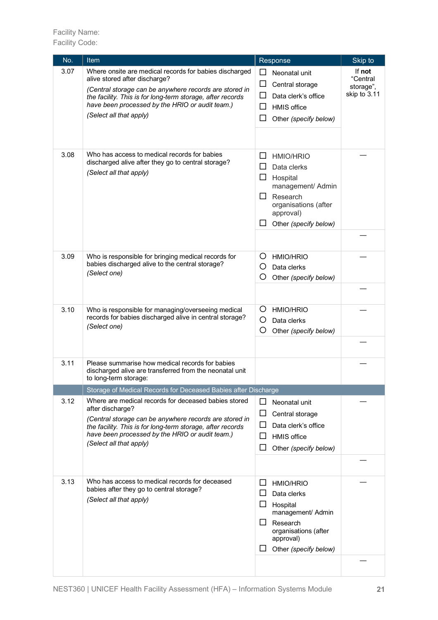Facility Name: Facility Code:

| No.  | <b>Item</b>                                                                                                                                                                                                                                                                                   | Response                                                                                                                                                                 | Skip to                                         |
|------|-----------------------------------------------------------------------------------------------------------------------------------------------------------------------------------------------------------------------------------------------------------------------------------------------|--------------------------------------------------------------------------------------------------------------------------------------------------------------------------|-------------------------------------------------|
| 3.07 | Where onsite are medical records for babies discharged<br>alive stored after discharge?<br>(Central storage can be anywhere records are stored in<br>the facility. This is for long-term storage, after records<br>have been processed by the HRIO or audit team.)<br>(Select all that apply) | Neonatal unit<br>Central storage<br>Data clerk's office<br><b>HMIS</b> office<br>ப<br>Other (specify below)                                                              | If not<br>"Central<br>storage",<br>skip to 3.11 |
| 3.08 | Who has access to medical records for babies<br>discharged alive after they go to central storage?<br>(Select all that apply)                                                                                                                                                                 | <b>HMIO/HRIO</b><br>ப<br>Data clerks<br>ப<br>$\Box$<br>Hospital<br>management/ Admin<br>Research<br>ப<br>organisations (after<br>approval)<br>Other (specify below)<br>ப |                                                 |
| 3.09 | Who is responsible for bringing medical records for<br>babies discharged alive to the central storage?<br>(Select one)                                                                                                                                                                        | O<br><b>HMIO/HRIO</b><br>O<br>Data clerks<br>O<br>Other (specify below)                                                                                                  |                                                 |
| 3.10 | Who is responsible for managing/overseeing medical<br>records for babies discharged alive in central storage?<br>(Select one)                                                                                                                                                                 | Ő<br><b>HMIO/HRIO</b><br>O<br>Data clerks<br>O<br>Other (specify below)                                                                                                  |                                                 |
| 3.11 | Please summarise how medical records for babies<br>discharged alive are transferred from the neonatal unit<br>to long-term storage:                                                                                                                                                           |                                                                                                                                                                          |                                                 |
|      | Storage of Medical Records for Deceased Babies after Discharge                                                                                                                                                                                                                                |                                                                                                                                                                          |                                                 |
| 3.12 | Where are medical records for deceased babies stored<br>after discharge?<br>(Central storage can be anywhere records are stored in<br>the facility. This is for long-term storage, after records<br>have been processed by the HRIO or audit team.)<br>(Select all that apply)                | П<br>Neonatal unit<br>Central storage<br>ப<br>Data clerk's office<br><b>HMIS</b> office<br>Other (specify below)                                                         |                                                 |
| 3.13 | Who has access to medical records for deceased<br>babies after they go to central storage?<br>(Select all that apply)                                                                                                                                                                         | <b>HMIO/HRIO</b><br>⊔<br>ப<br>Data clerks<br>Hospital<br>management/ Admin<br>Research<br>organisations (after<br>approval)<br>Other (specify below)                     |                                                 |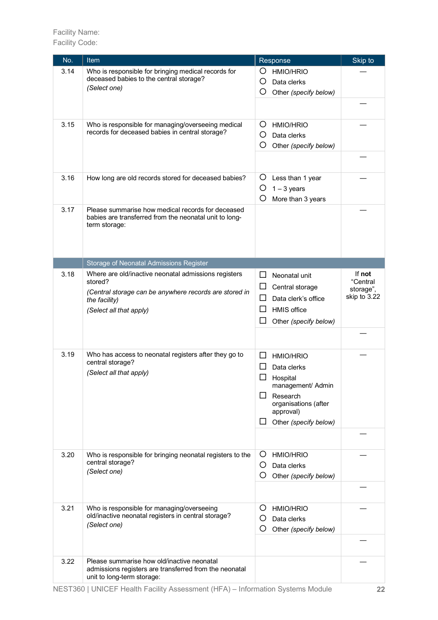| No.  | Item                                                                                                                                                                  | Response                                                                                                                                                                   | Skip to                                         |
|------|-----------------------------------------------------------------------------------------------------------------------------------------------------------------------|----------------------------------------------------------------------------------------------------------------------------------------------------------------------------|-------------------------------------------------|
| 3.14 | Who is responsible for bringing medical records for<br>deceased babies to the central storage?<br>(Select one)                                                        | <b>HMIO/HRIO</b><br>$\left( \right)$<br>O<br>Data clerks<br>O<br>Other (specify below)                                                                                     |                                                 |
| 3.15 | Who is responsible for managing/overseeing medical<br>records for deceased babies in central storage?                                                                 | Ő<br><b>HMIO/HRIO</b><br>Ő<br>Data clerks<br>O<br>Other (specify below)                                                                                                    |                                                 |
| 3.16 | How long are old records stored for deceased babies?                                                                                                                  | Ő<br>Less than 1 year<br>O<br>$1 - 3$ years<br>O<br>More than 3 years                                                                                                      |                                                 |
| 3.17 | Please summarise how medical records for deceased<br>babies are transferred from the neonatal unit to long-<br>term storage:                                          |                                                                                                                                                                            |                                                 |
|      | Storage of Neonatal Admissions Register                                                                                                                               |                                                                                                                                                                            |                                                 |
| 3.18 | Where are old/inactive neonatal admissions registers<br>stored?<br>(Central storage can be anywhere records are stored in<br>the facility)<br>(Select all that apply) | ΙI<br>Neonatal unit<br>Central storage<br>ப<br>Data clerk's office<br><b>HMIS</b> office<br>ப<br>Other (specify below)<br>ப                                                | If not<br>"Central<br>storage",<br>skip to 3.22 |
|      |                                                                                                                                                                       |                                                                                                                                                                            |                                                 |
| 3.19 | Who has access to neonatal registers after they go to<br>central storage?<br>(Select all that apply)                                                                  | <b>HMIO/HRIO</b><br>$\mathsf{L}$<br>Data clerks<br>Hospital<br>management/ Admin<br>Research<br>$\mathsf{L}$<br>organisations (after<br>approval)<br>Other (specify below) |                                                 |
|      |                                                                                                                                                                       |                                                                                                                                                                            |                                                 |
| 3.20 | Who is responsible for bringing neonatal registers to the<br>central storage?<br>(Select one)                                                                         | Ő<br><b>HMIO/HRIO</b><br>Ő<br>Data clerks<br>Ő<br>Other (specify below)                                                                                                    |                                                 |
| 3.21 | Who is responsible for managing/overseeing<br>old/inactive neonatal registers in central storage?<br>(Select one)                                                     | <b>HMIO/HRIO</b><br>O<br>Ő<br>Data clerks<br>Ő<br>Other (specify below)                                                                                                    |                                                 |
| 3.22 | Please summarise how old/inactive neonatal<br>admissions registers are transferred from the neonatal<br>unit to long-term storage:                                    |                                                                                                                                                                            |                                                 |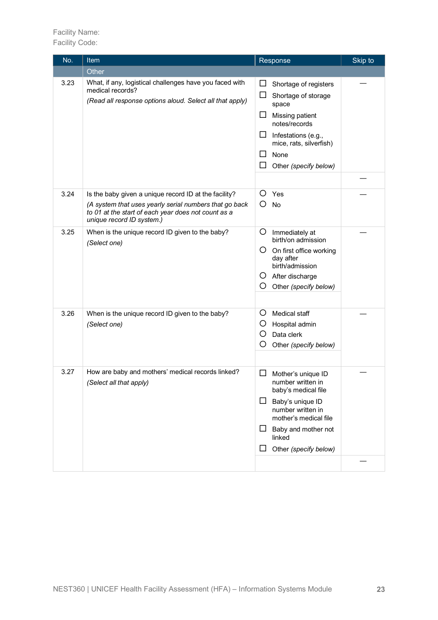| No.  | Item                                                                                                                                                                                                | Response                                                                                                                                                                                                            | Skip to |
|------|-----------------------------------------------------------------------------------------------------------------------------------------------------------------------------------------------------|---------------------------------------------------------------------------------------------------------------------------------------------------------------------------------------------------------------------|---------|
|      | Other                                                                                                                                                                                               |                                                                                                                                                                                                                     |         |
| 3.23 | What, if any, logistical challenges have you faced with<br>medical records?<br>(Read all response options aloud. Select all that apply)                                                             | Shortage of registers<br>ப<br>Shortage of storage<br>ப<br>space<br>ப<br>Missing patient<br>notes/records<br>ப<br>Infestations (e.g.,<br>mice, rats, silverfish)<br>None<br>Other (specify below)                    |         |
| 3.24 | Is the baby given a unique record ID at the facility?<br>(A system that uses yearly serial numbers that go back<br>to 01 at the start of each year does not count as a<br>unique record ID system.) | Ő<br>Yes<br>Ο<br>No                                                                                                                                                                                                 |         |
| 3.25 | When is the unique record ID given to the baby?<br>(Select one)                                                                                                                                     | O<br>Immediately at<br>birth/on admission<br>Ő<br>On first office working<br>day after<br>birth/admission<br>O After discharge<br>O<br>Other (specify below)                                                        |         |
| 3.26 | When is the unique record ID given to the baby?<br>(Select one)                                                                                                                                     | O<br>Medical staff<br>O<br>Hospital admin<br>Ő<br>Data clerk<br>O<br>Other (specify below)                                                                                                                          |         |
| 3.27 | How are baby and mothers' medical records linked?<br>(Select all that apply)                                                                                                                        | Mother's unique ID<br>ப<br>number written in<br>baby's medical file<br>$\Box$<br>Baby's unique ID<br>number written in<br>mother's medical file<br>Baby and mother not<br>ப<br>linked<br>Other (specify below)<br>ப |         |
|      |                                                                                                                                                                                                     |                                                                                                                                                                                                                     |         |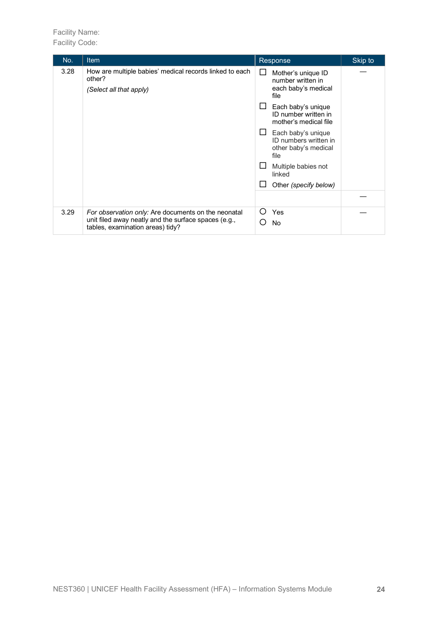Facility Name: Facility Code:

| No.  | <b>Item</b>                                                                                                                                     | Response                                                                                                                                                                                                                                                                                    | Skip to |
|------|-------------------------------------------------------------------------------------------------------------------------------------------------|---------------------------------------------------------------------------------------------------------------------------------------------------------------------------------------------------------------------------------------------------------------------------------------------|---------|
| 3.28 | How are multiple babies' medical records linked to each<br>other?<br>(Select all that apply)                                                    | Mother's unique ID<br>ப<br>number written in<br>each baby's medical<br>file<br>Each baby's unique<br>ID number written in<br>mother's medical file<br>Each baby's unique<br>ID numbers written in<br>other baby's medical<br>file<br>Multiple babies not<br>linked<br>Other (specify below) |         |
| 3.29 | For observation only: Are documents on the neonatal<br>unit filed away neatly and the surface spaces (e.g.,<br>tables, examination areas) tidy? | $\left( \right)$<br>Yes<br><b>No</b><br>- 1                                                                                                                                                                                                                                                 |         |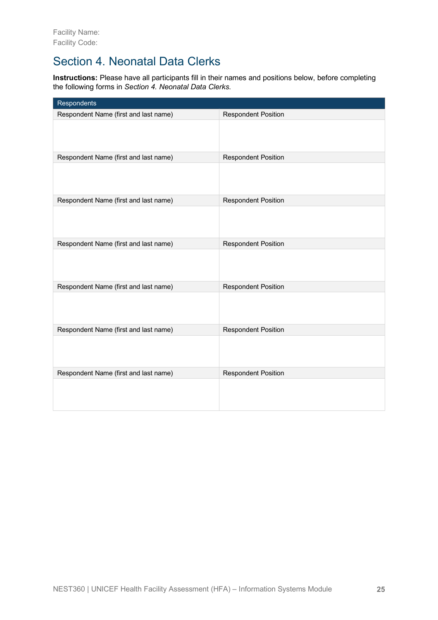### Section 4. Neonatal Data Clerks

**Instructions:** Please have all participants fill in their names and positions below, before completing the following forms in *Section 4. Neonatal Data Clerks*.

| Respondents                           |                            |
|---------------------------------------|----------------------------|
| Respondent Name (first and last name) | <b>Respondent Position</b> |
|                                       |                            |
| Respondent Name (first and last name) | <b>Respondent Position</b> |
|                                       |                            |
| Respondent Name (first and last name) | <b>Respondent Position</b> |
|                                       |                            |
| Respondent Name (first and last name) | <b>Respondent Position</b> |
|                                       |                            |
| Respondent Name (first and last name) | <b>Respondent Position</b> |
|                                       |                            |
| Respondent Name (first and last name) | <b>Respondent Position</b> |
|                                       |                            |
| Respondent Name (first and last name) | <b>Respondent Position</b> |
|                                       |                            |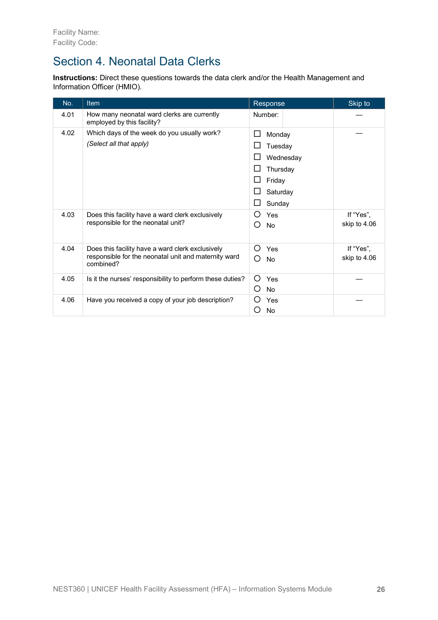### Section 4. Neonatal Data Clerks

**Instructions:** Direct these questions towards the data clerk and/or the Health Management and Information Officer (HMIO).

| No.  | <b>Item</b>                                                               | Response                | Skip to      |
|------|---------------------------------------------------------------------------|-------------------------|--------------|
| 4.01 | How many neonatal ward clerks are currently<br>employed by this facility? | Number:                 |              |
| 4.02 | Which days of the week do you usually work?                               | $\Box$<br>Monday        |              |
|      | (Select all that apply)                                                   | Tuesday                 |              |
|      |                                                                           | Wednesday               |              |
|      |                                                                           | Thursday                |              |
|      |                                                                           | Friday                  |              |
|      |                                                                           | Saturday                |              |
|      |                                                                           | Sunday                  |              |
| 4.03 | Does this facility have a ward clerk exclusively                          | Yes<br>()               | If "Yes",    |
|      | responsible for the neonatal unit?                                        | ( )<br><b>No</b>        | skip to 4.06 |
| 4.04 | Does this facility have a ward clerk exclusively                          | ( )<br>Yes              | If "Yes",    |
|      | responsible for the neonatal unit and maternity ward<br>combined?         | <b>No</b><br>( )        | skip to 4.06 |
| 4.05 | Is it the nurses' responsibility to perform these duties?                 | $\left( \right)$<br>Yes |              |
|      |                                                                           | O<br>No                 |              |
| 4.06 | Have you received a copy of your job description?                         | Yes                     |              |
|      |                                                                           | No                      |              |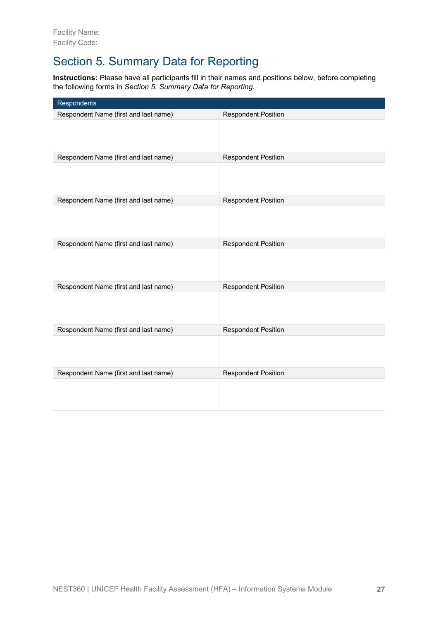# Section 5. Summary Data for Reporting

**Instructions:** Please have all participants fill in their names and positions below, before completing the following forms in *Section 5. Summary Data for Reporting*.

| Respondents                           |                            |
|---------------------------------------|----------------------------|
| Respondent Name (first and last name) | <b>Respondent Position</b> |
|                                       |                            |
| Respondent Name (first and last name) | <b>Respondent Position</b> |
|                                       |                            |
| Respondent Name (first and last name) | <b>Respondent Position</b> |
|                                       |                            |
| Respondent Name (first and last name) | <b>Respondent Position</b> |
|                                       |                            |
| Respondent Name (first and last name) | <b>Respondent Position</b> |
|                                       |                            |
| Respondent Name (first and last name) | <b>Respondent Position</b> |
|                                       |                            |
| Respondent Name (first and last name) | <b>Respondent Position</b> |
|                                       |                            |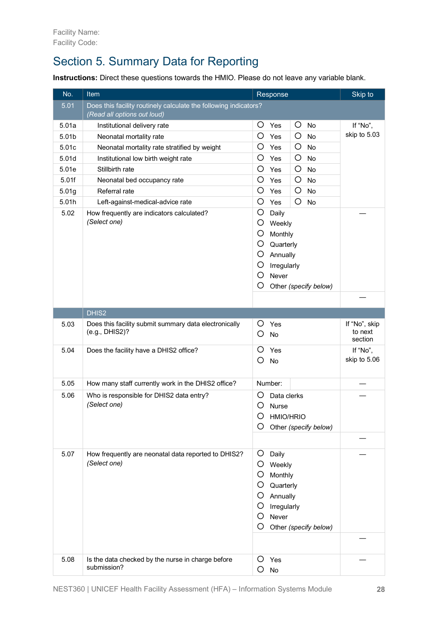# Section 5. Summary Data for Reporting

**Instructions:** Direct these questions towards the HMIO. Please do not leave any variable blank.

| No.   | Item<br>Response                                                        |                                                                                                                                              |                                     |  |  |
|-------|-------------------------------------------------------------------------|----------------------------------------------------------------------------------------------------------------------------------------------|-------------------------------------|--|--|
| 5.01  | Does this facility routinely calculate the following indicators?        |                                                                                                                                              |                                     |  |  |
|       | (Read all options out loud)                                             |                                                                                                                                              | If "No",                            |  |  |
| 5.01a | O<br>O<br>No<br>Institutional delivery rate<br>Yes                      |                                                                                                                                              |                                     |  |  |
| 5.01b | O<br>$\circ$<br>Neonatal mortality rate<br>Yes<br>No                    |                                                                                                                                              | skip to 5.03                        |  |  |
| 5.01c | Neonatal mortality rate stratified by weight                            | O<br>O<br>Yes<br>No                                                                                                                          |                                     |  |  |
| 5.01d | Institutional low birth weight rate                                     | O<br>O<br><b>No</b><br>Yes                                                                                                                   |                                     |  |  |
| 5.01e | Stillbirth rate                                                         | O<br>O<br><b>No</b><br>Yes                                                                                                                   |                                     |  |  |
| 5.01f | Neonatal bed occupancy rate                                             | O<br>O<br><b>No</b><br>Yes                                                                                                                   |                                     |  |  |
| 5.01g | Referral rate                                                           | O<br>O<br>Yes<br>No                                                                                                                          |                                     |  |  |
| 5.01h | Left-against-medical-advice rate                                        | O<br>O<br>Yes<br>No                                                                                                                          |                                     |  |  |
| 5.02  | How frequently are indicators calculated?<br>(Select one)               | O<br>Daily<br>O<br>Weekly<br>O<br>Monthly<br>O<br>Quarterly<br>O<br>Annually<br>O<br>Irregularly<br>Ο<br>Never                               |                                     |  |  |
|       |                                                                         | O<br>Other (specify below)                                                                                                                   |                                     |  |  |
|       |                                                                         |                                                                                                                                              |                                     |  |  |
|       |                                                                         |                                                                                                                                              |                                     |  |  |
|       | DHIS2                                                                   |                                                                                                                                              |                                     |  |  |
| 5.03  | Does this facility submit summary data electronically<br>(e.g., DHIS2)? | Ő<br>Yes<br>O<br>No                                                                                                                          | If "No", skip<br>to next<br>section |  |  |
| 5.04  | Does the facility have a DHIS2 office?                                  | O<br>Yes<br>О<br><b>No</b>                                                                                                                   | If "No",<br>skip to 5.06            |  |  |
| 5.05  | How many staff currently work in the DHIS2 office?                      | Number:                                                                                                                                      |                                     |  |  |
| 5.06  | Who is responsible for DHIS2 data entry?<br>(Select one)                | O<br>Data clerks<br>O<br>Nurse<br>HMIO/HRIO<br>O<br>Other (specify below)                                                                    |                                     |  |  |
| 5.07  | How frequently are neonatal data reported to DHIS2?<br>(Select one)     | O<br>Daily<br>O<br>Weekly<br>O<br>Monthly<br>O<br>Quarterly<br>O<br>Annually<br>O<br>Irregularly<br>O<br>Never<br>O<br>Other (specify below) |                                     |  |  |
| 5.08  | Is the data checked by the nurse in charge before<br>submission?        | O<br>Yes<br>O<br>No                                                                                                                          |                                     |  |  |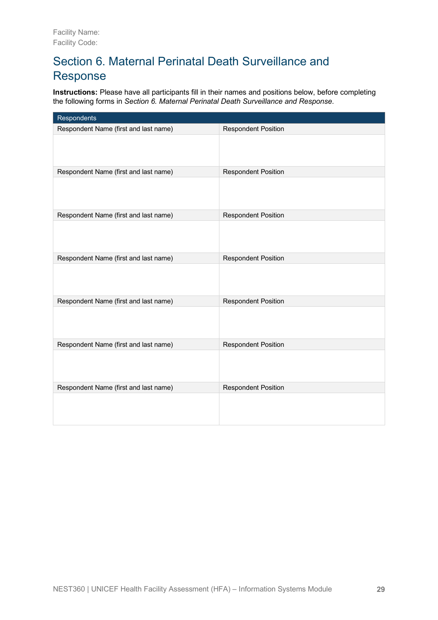# Section 6. Maternal Perinatal Death Surveillance and Response

**Instructions:** Please have all participants fill in their names and positions below, before completing the following forms in *Section 6. Maternal Perinatal Death Surveillance and Response*.

| Respondents                           |                            |
|---------------------------------------|----------------------------|
| Respondent Name (first and last name) | <b>Respondent Position</b> |
|                                       |                            |
| Respondent Name (first and last name) | <b>Respondent Position</b> |
|                                       |                            |
| Respondent Name (first and last name) | <b>Respondent Position</b> |
|                                       |                            |
| Respondent Name (first and last name) | <b>Respondent Position</b> |
|                                       |                            |
| Respondent Name (first and last name) | <b>Respondent Position</b> |
|                                       |                            |
| Respondent Name (first and last name) | <b>Respondent Position</b> |
|                                       |                            |
| Respondent Name (first and last name) | <b>Respondent Position</b> |
|                                       |                            |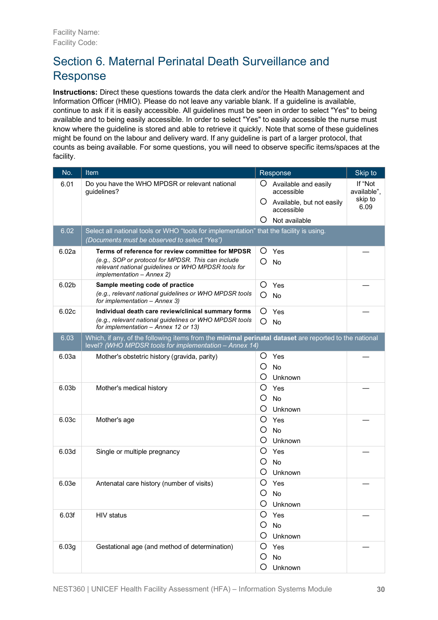# Section 6. Maternal Perinatal Death Surveillance and Response

**Instructions:** Direct these questions towards the data clerk and/or the Health Management and Information Officer (HMIO). Please do not leave any variable blank. If a guideline is available, continue to ask if it is easily accessible. All guidelines must be seen in order to select "Yes" to being available and to being easily accessible. In order to select "Yes" to easily accessible the nurse must know where the guideline is stored and able to retrieve it quickly. Note that some of these guidelines might be found on the labour and delivery ward. If any guideline is part of a larger protocol, that counts as being available. For some questions, you will need to observe specific items/spaces at the facility.

| No.               | Item                                                                                                                                                                                        | Skip to<br>Response                                                                                                                                        |
|-------------------|---------------------------------------------------------------------------------------------------------------------------------------------------------------------------------------------|------------------------------------------------------------------------------------------------------------------------------------------------------------|
| 6.01              | Do you have the WHO MPDSR or relevant national<br>quidelines?                                                                                                                               | If "Not<br>Ő<br>Available and easily<br>available",<br>accessible<br>skip to<br>Ő<br>Available, but not easily<br>6.09<br>accessible<br>Not available<br>O |
| 6.02              | Select all national tools or WHO "tools for implementation" that the facility is using.<br>(Documents must be observed to select "Yes")                                                     |                                                                                                                                                            |
| 6.02a             | Terms of reference for review committee for MPDSR<br>(e.g., SOP or protocol for MPDSR, This can include<br>relevant national guidelines or WHO MPDSR tools for<br>implementation - Annex 2) | O<br>Yes<br>O<br>No                                                                                                                                        |
| 6.02 <sub>b</sub> | Sample meeting code of practice<br>(e.g., relevant national guidelines or WHO MPDSR tools<br>for implementation - Annex 3)                                                                  | O<br>Yes<br>O<br><b>No</b>                                                                                                                                 |
| 6.02c             | Individual death care review/clinical summary forms<br>(e.g., relevant national guidelines or WHO MPDSR tools<br>for implementation - Annex 12 or 13)                                       | O<br>Yes<br>O<br><b>No</b>                                                                                                                                 |
| 6.03              | Which, if any, of the following items from the minimal perinatal dataset are reported to the national<br>level? (WHO MPDSR tools for implementation - Annex 14)                             |                                                                                                                                                            |
| 6.03a             | Mother's obstetric history (gravida, parity)                                                                                                                                                | Yes<br>O<br>O<br>No<br>O<br>Unknown                                                                                                                        |
| 6.03b             | Mother's medical history                                                                                                                                                                    | O<br>Yes<br>Ő<br>No<br>Unknown<br>O                                                                                                                        |
| 6.03c             | Mother's age                                                                                                                                                                                | $\circ$<br>Yes<br>O<br>No<br>O<br>Unknown                                                                                                                  |
| 6.03d             | Single or multiple pregnancy                                                                                                                                                                | O<br>Yes<br>No<br>O<br>O<br>Unknown                                                                                                                        |
| 6.03e             | Antenatal care history (number of visits)                                                                                                                                                   | O<br>Yes<br>Ω<br>No<br>Unknown<br>Ő                                                                                                                        |
| 6.03f             | HIV status                                                                                                                                                                                  | O<br>Yes<br>O.<br>No<br>O Unknown                                                                                                                          |
| 6.03g             | Gestational age (and method of determination)                                                                                                                                               | Ő<br>Yes<br>No<br>O<br>O<br>Unknown                                                                                                                        |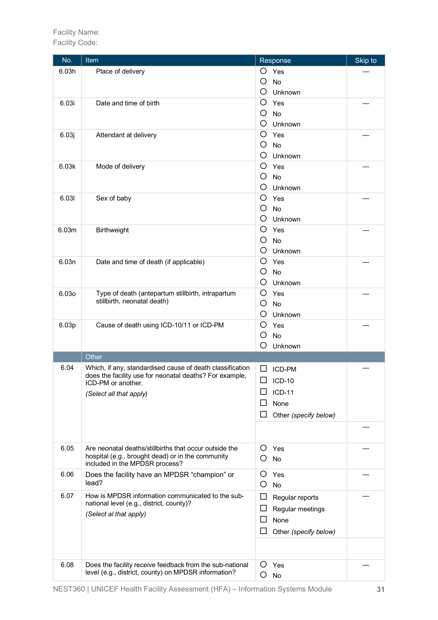| No.   | Item                                                                                                                 | Response              | Skip to |
|-------|----------------------------------------------------------------------------------------------------------------------|-----------------------|---------|
| 6.03h | Place of delivery                                                                                                    | O Yes                 |         |
|       |                                                                                                                      | O<br><b>No</b>        |         |
|       |                                                                                                                      | O<br>Unknown          |         |
| 6.03i | Date and time of birth                                                                                               | O<br>Yes              |         |
|       |                                                                                                                      | O<br><b>No</b>        |         |
|       |                                                                                                                      | O<br>Unknown          |         |
| 6.03j | Attendant at delivery                                                                                                | O<br>Yes              |         |
|       |                                                                                                                      | O<br><b>No</b>        |         |
|       |                                                                                                                      | O<br>Unknown          |         |
| 6.03k | Mode of delivery                                                                                                     | O<br>Yes              |         |
|       |                                                                                                                      | O<br><b>No</b>        |         |
|       |                                                                                                                      | O<br>Unknown          |         |
| 6.031 | Sex of baby                                                                                                          | O<br>Yes              |         |
|       |                                                                                                                      | O<br><b>No</b>        |         |
|       |                                                                                                                      | O<br>Unknown          |         |
| 6.03m | Birthweight                                                                                                          | O<br>Yes              |         |
|       |                                                                                                                      | O<br>No               |         |
|       |                                                                                                                      | O<br>Unknown          |         |
| 6.03n | Date and time of death (if applicable)                                                                               | O<br>Yes              |         |
|       |                                                                                                                      | O<br><b>No</b>        |         |
|       |                                                                                                                      | O<br>Unknown          |         |
| 6.030 | Type of death (antepartum stillbirth, intrapartum                                                                    | O<br>Yes              |         |
|       | stillbirth, neonatal death)                                                                                          | O<br><b>No</b>        |         |
|       |                                                                                                                      | O<br>Unknown          |         |
|       |                                                                                                                      | O<br>Yes              |         |
| 6.03p | Cause of death using ICD-10/11 or ICD-PM                                                                             | <b>No</b><br>O        |         |
|       |                                                                                                                      | О<br>Unknown          |         |
|       | Other                                                                                                                |                       |         |
| 6.04  |                                                                                                                      |                       |         |
|       | Which, if any, standardised cause of death classification<br>does the facility use for neonatal deaths? For example, | ICD-PM<br>ப           |         |
|       | ICD-PM or another.                                                                                                   | ⊔<br><b>ICD-10</b>    |         |
|       | (Select all that apply)                                                                                              | <b>ICD-11</b>         |         |
|       |                                                                                                                      | None                  |         |
|       |                                                                                                                      | Other (specify below) |         |
|       |                                                                                                                      |                       |         |
|       |                                                                                                                      |                       |         |
| 6.05  | Are neonatal deaths/stillbirths that occur outside the                                                               | Ő<br>Yes              |         |
|       | hospital (e.g., brought dead) or in the community                                                                    | O<br><b>No</b>        |         |
|       | included in the MPDSR process?                                                                                       |                       |         |
| 6.06  | Does the facility have an MPDSR "champion" or                                                                        | Ő<br>Yes              |         |
|       | lead?                                                                                                                | O<br><b>No</b>        |         |
| 6.07  | How is MPDSR information communicated to the sub-                                                                    | Regular reports<br>ப  |         |
|       | national level (e.g., district, county)?                                                                             | Regular meetings      |         |
|       | (Select al that apply)                                                                                               | None                  |         |
|       |                                                                                                                      | Other (specify below) |         |
|       |                                                                                                                      |                       |         |
|       |                                                                                                                      |                       |         |
| 6.08  | Does the facility receive feedback from the sub-national                                                             | Ő<br>Yes              |         |
|       | level (e.g., district, county) on MPDSR information?                                                                 | O<br><b>No</b>        |         |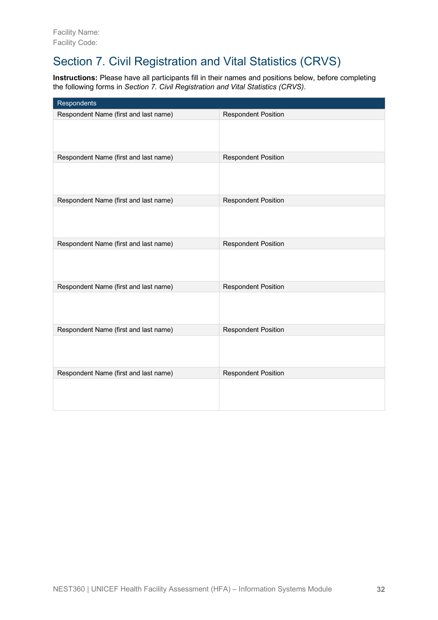# Section 7. Civil Registration and Vital Statistics (CRVS)

**Instructions:** Please have all participants fill in their names and positions below, before completing the following forms in *Section 7. Civil Registration and Vital Statistics (CRVS)*.

| Respondents                           |                            |
|---------------------------------------|----------------------------|
| Respondent Name (first and last name) | <b>Respondent Position</b> |
|                                       |                            |
| Respondent Name (first and last name) | <b>Respondent Position</b> |
|                                       |                            |
| Respondent Name (first and last name) | <b>Respondent Position</b> |
|                                       |                            |
| Respondent Name (first and last name) | <b>Respondent Position</b> |
|                                       |                            |
| Respondent Name (first and last name) | <b>Respondent Position</b> |
|                                       |                            |
| Respondent Name (first and last name) | <b>Respondent Position</b> |
|                                       |                            |
| Respondent Name (first and last name) | <b>Respondent Position</b> |
|                                       |                            |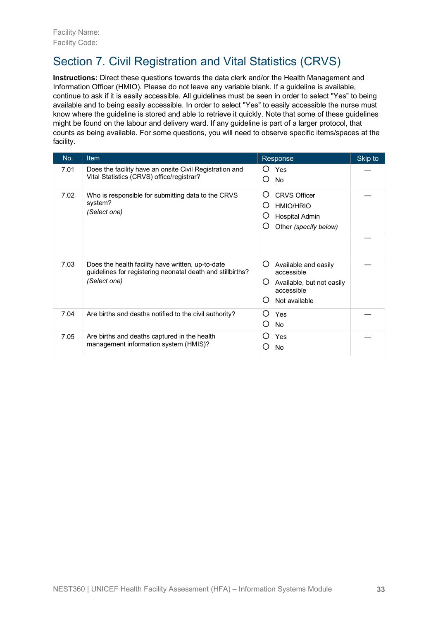# Section 7. Civil Registration and Vital Statistics (CRVS)

**Instructions:** Direct these questions towards the data clerk and/or the Health Management and Information Officer (HMIO). Please do not leave any variable blank. If a guideline is available, continue to ask if it is easily accessible. All guidelines must be seen in order to select "Yes" to being available and to being easily accessible. In order to select "Yes" to easily accessible the nurse must know where the guideline is stored and able to retrieve it quickly. Note that some of these guidelines might be found on the labour and delivery ward. If any guideline is part of a larger protocol, that counts as being available. For some questions, you will need to observe specific items/spaces at the facility.

| No.  | <b>Item</b>                                                                                                                     | Response                                                                                                      | Skip to |
|------|---------------------------------------------------------------------------------------------------------------------------------|---------------------------------------------------------------------------------------------------------------|---------|
| 7.01 | Does the facility have an onsite Civil Registration and<br>Vital Statistics (CRVS) office/registrar?                            | Yes<br>$\left( \right)$<br>◯<br><b>No</b>                                                                     |         |
| 7.02 | Who is responsible for submitting data to the CRVS<br>system?<br>(Select one)                                                   | Ő<br><b>CRVS Officer</b><br>O<br><b>HMIO/HRIO</b><br>O)<br>Hospital Admin<br>Other (specify below)<br>Ő       |         |
| 7.03 | Does the health facility have written, up-to-date<br>guidelines for registering neonatal death and stillbirths?<br>(Select one) | Ő<br>Available and easily<br>accessible<br>Ő<br>Available, but not easily<br>accessible<br>Ω<br>Not available |         |
| 7.04 | Are births and deaths notified to the civil authority?                                                                          | Ω<br>Yes<br>∩<br><b>No</b>                                                                                    |         |
| 7.05 | Are births and deaths captured in the health<br>management information system (HMIS)?                                           | Ω<br>Yes<br>No                                                                                                |         |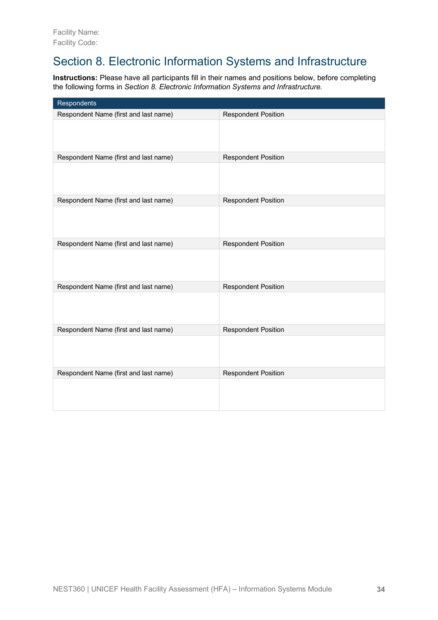## Section 8. Electronic Information Systems and Infrastructure

**Instructions:** Please have all participants fill in their names and positions below, before completing the following forms in *Section 8. Electronic Information Systems and Infrastructure*.

| Respondents                           |                            |
|---------------------------------------|----------------------------|
| Respondent Name (first and last name) | <b>Respondent Position</b> |
|                                       |                            |
| Respondent Name (first and last name) | <b>Respondent Position</b> |
|                                       |                            |
| Respondent Name (first and last name) | <b>Respondent Position</b> |
|                                       |                            |
| Respondent Name (first and last name) | <b>Respondent Position</b> |
|                                       |                            |
| Respondent Name (first and last name) | <b>Respondent Position</b> |
|                                       |                            |
| Respondent Name (first and last name) | <b>Respondent Position</b> |
|                                       |                            |
| Respondent Name (first and last name) | <b>Respondent Position</b> |
|                                       |                            |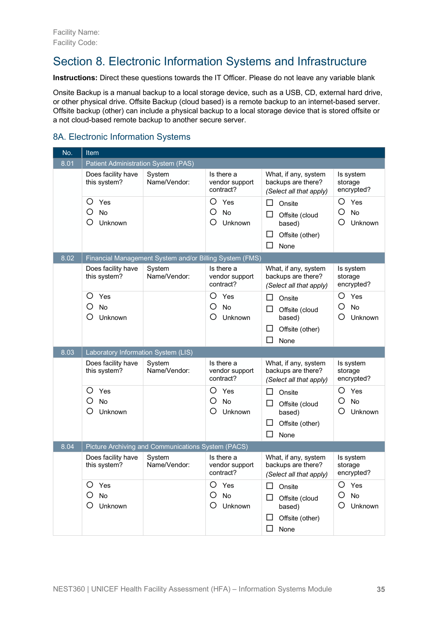### Section 8. Electronic Information Systems and Infrastructure

**Instructions:** Direct these questions towards the IT Officer. Please do not leave any variable blank

Onsite Backup is a manual backup to a local storage device, such as a USB, CD, external hard drive, or other physical drive. Offsite Backup (cloud based) is a remote backup to an internet-based server. Offsite backup (other) can include a physical backup to a local storage device that is stored offsite or a not cloud-based remote backup to another secure server.

#### 8A. Electronic Information Systems

| No.  | Item                                |                                                         |                                           |                                                                       |                                    |
|------|-------------------------------------|---------------------------------------------------------|-------------------------------------------|-----------------------------------------------------------------------|------------------------------------|
| 8.01 | Patient Administration System (PAS) |                                                         |                                           |                                                                       |                                    |
|      | Does facility have<br>this system?  | System<br>Name/Vendor:                                  | Is there a<br>vendor support<br>contract? | What, if any, system<br>backups are there?<br>(Select all that apply) | Is system<br>storage<br>encrypted? |
|      | O<br>Yes                            |                                                         | O<br>Yes                                  | □<br>Onsite                                                           | O<br>Yes                           |
|      | O<br>No<br>О<br>Unknown             |                                                         | O<br><b>No</b><br>O)<br>Unknown           | ப<br>Offsite (cloud<br>based)                                         | O<br><b>No</b><br>O<br>Unknown     |
|      |                                     |                                                         |                                           | □<br>Offsite (other)<br>П<br>None                                     |                                    |
| 8.02 |                                     | Financial Management System and/or Billing System (FMS) |                                           |                                                                       |                                    |
|      | Does facility have<br>this system?  | System<br>Name/Vendor:                                  | Is there a<br>vendor support<br>contract? | What, if any, system<br>backups are there?<br>(Select all that apply) | Is system<br>storage<br>encrypted? |
|      | O<br>Yes                            |                                                         | O<br>Yes                                  | □<br>Onsite                                                           | O<br>Yes                           |
|      | O<br><b>No</b>                      |                                                         | O<br>No                                   | ப<br>Offsite (cloud                                                   | O<br><b>No</b>                     |
|      | Ο<br>Unknown                        |                                                         | C)<br>Unknown                             | based)                                                                | O<br>Unknown                       |
|      |                                     |                                                         |                                           | Offsite (other)<br>ப<br>П<br>None                                     |                                    |
| 8.03 | Laboratory Information System (LIS) |                                                         |                                           |                                                                       |                                    |
|      | Does facility have<br>this system?  | System<br>Name/Vendor:                                  | Is there a<br>vendor support<br>contract? | What, if any, system<br>backups are there?<br>(Select all that apply) | Is system<br>storage<br>encrypted? |
|      | O<br>Yes                            |                                                         | Ω<br>Yes                                  | □<br>Onsite                                                           | O<br>Yes                           |
|      | О<br>No<br>О<br>Unknown             |                                                         | Ο<br>No<br>O<br>Unknown                   | Offsite (cloud<br>⊔                                                   | O<br>No<br>O<br>Unknown            |
|      |                                     |                                                         |                                           | based)<br>ப<br>Offsite (other)                                        |                                    |
|      |                                     |                                                         |                                           | ΙI<br>None                                                            |                                    |
| 8.04 |                                     | Picture Archiving and Communications System (PACS)      |                                           |                                                                       |                                    |
|      | Does facility have<br>this system?  | System<br>Name/Vendor:                                  | Is there a<br>vendor support<br>contract? | What, if any, system<br>backups are there?<br>(Select all that apply) | Is system<br>storage<br>encrypted? |
|      | O<br>Yes                            |                                                         | O<br>Yes                                  | ப<br>Onsite                                                           | O<br>Yes                           |
|      | O<br>No<br>О                        |                                                         | O<br>No                                   | Offsite (cloud                                                        | O<br>No<br>O                       |
|      | Unknown                             |                                                         | Unknown                                   | based)<br>$\Box$<br>Offsite (other)                                   | Unknown                            |
|      |                                     |                                                         |                                           | □<br>None                                                             |                                    |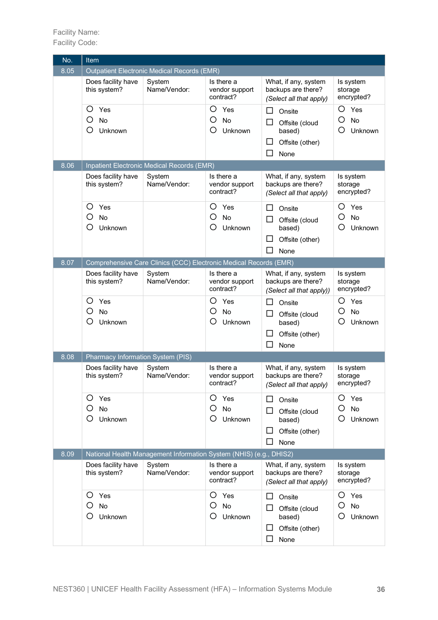Facility Name: Facility Code:

| No.  | Item                                       |                                                                    |                                           |                                                                                        |                                            |
|------|--------------------------------------------|--------------------------------------------------------------------|-------------------------------------------|----------------------------------------------------------------------------------------|--------------------------------------------|
| 8.05 |                                            | <b>Outpatient Electronic Medical Records (EMR)</b>                 |                                           |                                                                                        |                                            |
|      | Does facility have<br>this system?         | System<br>Name/Vendor:                                             | Is there a<br>vendor support<br>contract? | What, if any, system<br>backups are there?<br>(Select all that apply)                  | Is system<br>storage<br>encrypted?         |
|      | Ο<br>Yes<br>О<br><b>No</b><br>Ο<br>Unknown |                                                                    | O<br>Yes<br>O<br>No<br>( )<br>Unknown     | ப<br>Onsite<br>Offsite (cloud<br>ப<br>based)<br>ப<br>Offsite (other)<br>П<br>None      | O<br>Yes<br>O<br><b>No</b><br>O<br>Unknown |
| 8.06 |                                            | Inpatient Electronic Medical Records (EMR)                         |                                           |                                                                                        |                                            |
|      | Does facility have<br>this system?         | System<br>Name/Vendor:                                             | Is there a<br>vendor support<br>contract? | What, if any, system<br>backups are there?<br>(Select all that apply)                  | Is system<br>storage<br>encrypted?         |
|      | O<br>Yes<br>Ο<br>No<br>О<br>Unknown        |                                                                    | Ω<br>Yes<br>O<br>No<br>( )<br>Unknown     | □<br>Onsite<br>Offsite (cloud<br>ப<br>based)<br>Offsite (other)<br>ப<br>П<br>None      | O<br>Yes<br>O<br>No<br>O<br>Unknown        |
| 8.07 |                                            | Comprehensive Care Clinics (CCC) Electronic Medical Records (EMR)  |                                           |                                                                                        |                                            |
|      | Does facility have<br>this system?         | System<br>Name/Vendor:                                             | Is there a<br>vendor support<br>contract? | What, if any, system<br>backups are there?<br>(Select all that apply))                 | Is system<br>storage<br>encrypted?         |
|      | Ο<br>Yes<br>Ω<br>No<br>О<br>Unknown        |                                                                    | O<br>Yes<br>Ο<br>No<br>Ω<br>Unknown       | П<br>Onsite<br>Offsite (cloud<br>ப<br>based)<br>Offsite (other)<br>ΙI<br>None          | O<br>Yes<br>O<br>No<br>O<br>Unknown        |
| 8.08 | Pharmacy Information System (PIS)          |                                                                    |                                           |                                                                                        |                                            |
|      | Does facility have<br>this system?         | System<br>Name/Vendor:                                             | Is there a<br>vendor support<br>contract? | What, if any, system<br>backups are there?<br>(Select all that apply)                  | Is system<br>storage<br>encrypted?         |
|      | Ο<br>Yes<br>О<br>No<br>О<br>Unknown        |                                                                    | O<br>Yes<br>Ο<br>No<br>O<br>Unknown       | □<br>Onsite<br>$\Box$<br>Offsite (cloud<br>based)<br>ப<br>Offsite (other)<br>□<br>None | O<br>Yes<br>O<br>No<br>O<br>Unknown        |
| 8.09 |                                            | National Health Management Information System (NHIS) (e.g., DHIS2) |                                           |                                                                                        |                                            |
|      | Does facility have<br>this system?         | System<br>Name/Vendor:                                             | Is there a<br>vendor support<br>contract? | What, if any, system<br>backups are there?<br>(Select all that apply)                  | Is system<br>storage<br>encrypted?         |
|      | O<br>Yes<br>Ο<br>No<br>О<br>Unknown        |                                                                    | O<br>Yes<br>Ο<br>No<br>O<br>Unknown       | □<br>Onsite<br>□<br>Offsite (cloud<br>based)<br>ப<br>Offsite (other)<br>$\Box$<br>None | O<br>Yes<br>O<br>No<br>O<br>Unknown        |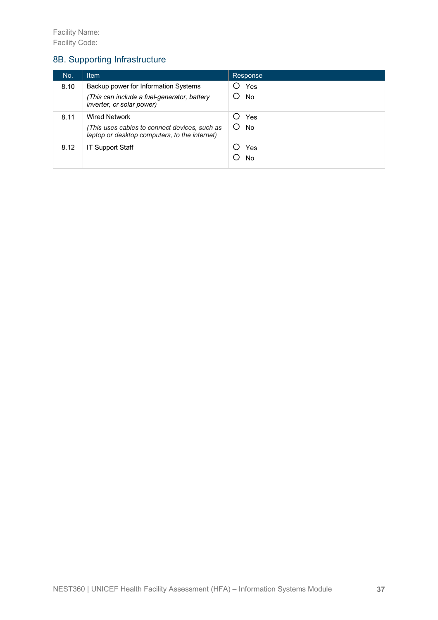#### 8B. Supporting Infrastructure

| No.  | <b>Item</b>                                                                                    | Response         |
|------|------------------------------------------------------------------------------------------------|------------------|
| 8.10 | Backup power for Information Systems                                                           | Yes              |
|      | (This can include a fuel-generator, battery<br>inverter, or solar power)                       | <b>No</b>        |
| 8.11 | <b>Wired Network</b>                                                                           | Yes              |
|      | (This uses cables to connect devices, such as<br>laptop or desktop computers, to the internet) | <b>No</b><br>( ) |
| 8.12 | <b>IT Support Staff</b>                                                                        | Yes              |
|      |                                                                                                | No               |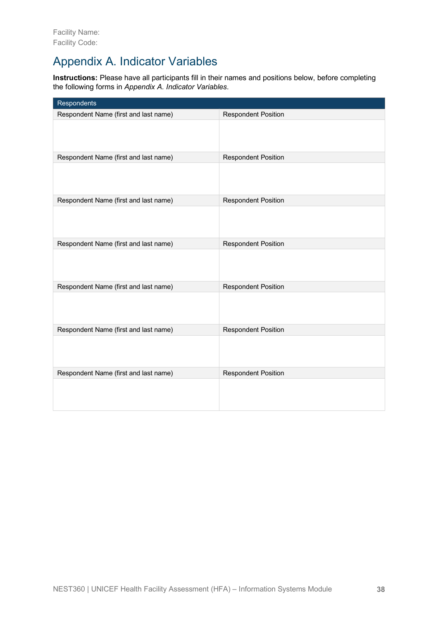### Appendix A. Indicator Variables

**Instructions:** Please have all participants fill in their names and positions below, before completing the following forms in *Appendix A. Indicator Variables*.

| Respondents                           |                            |
|---------------------------------------|----------------------------|
| Respondent Name (first and last name) | <b>Respondent Position</b> |
|                                       |                            |
| Respondent Name (first and last name) | <b>Respondent Position</b> |
|                                       |                            |
| Respondent Name (first and last name) | <b>Respondent Position</b> |
|                                       |                            |
| Respondent Name (first and last name) | <b>Respondent Position</b> |
|                                       |                            |
| Respondent Name (first and last name) | <b>Respondent Position</b> |
|                                       |                            |
| Respondent Name (first and last name) | <b>Respondent Position</b> |
|                                       |                            |
| Respondent Name (first and last name) | <b>Respondent Position</b> |
|                                       |                            |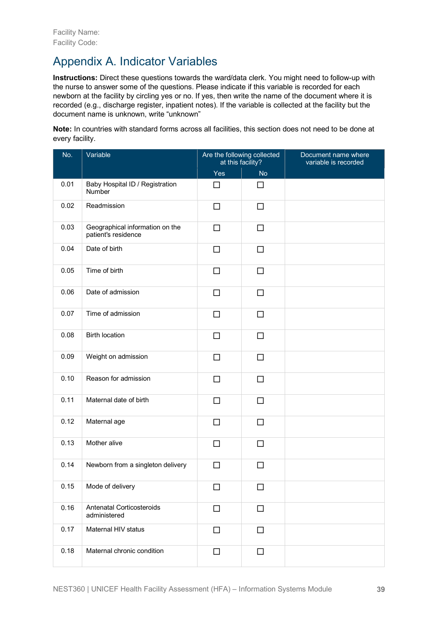### Appendix A. Indicator Variables

**Instructions:** Direct these questions towards the ward/data clerk. You might need to follow-up with the nurse to answer some of the questions. Please indicate if this variable is recorded for each newborn at the facility by circling yes or no. If yes, then write the name of the document where it is recorded (e.g., discharge register, inpatient notes). If the variable is collected at the facility but the document name is unknown, write "unknown"

**Note:** In countries with standard forms across all facilities, this section does not need to be done at every facility.

| No.  | Variable                                               | Are the following collected<br>at this facility? |           | Document name where<br>variable is recorded |
|------|--------------------------------------------------------|--------------------------------------------------|-----------|---------------------------------------------|
|      |                                                        | Yes                                              | <b>No</b> |                                             |
| 0.01 | Baby Hospital ID / Registration<br>Number              | □                                                | □         |                                             |
| 0.02 | Readmission                                            | □                                                | □         |                                             |
| 0.03 | Geographical information on the<br>patient's residence | $\Box$                                           | $\Box$    |                                             |
| 0.04 | Date of birth                                          | $\Box$                                           | $\Box$    |                                             |
| 0.05 | Time of birth                                          | □                                                | $\Box$    |                                             |
| 0.06 | Date of admission                                      | □                                                | $\Box$    |                                             |
| 0.07 | Time of admission                                      | □                                                | □         |                                             |
| 0.08 | <b>Birth location</b>                                  | □                                                | $\Box$    |                                             |
| 0.09 | Weight on admission                                    | □                                                | □         |                                             |
| 0.10 | Reason for admission                                   | □                                                | $\Box$    |                                             |
| 0.11 | Maternal date of birth                                 | П                                                | П         |                                             |
| 0.12 | Maternal age                                           | $\Box$                                           | $\Box$    |                                             |
| 0.13 | Mother alive                                           | □                                                | $\Box$    |                                             |
| 0.14 | Newborn from a singleton delivery                      | П                                                | $\Box$    |                                             |
| 0.15 | Mode of delivery                                       | □                                                | □         |                                             |
| 0.16 | Antenatal Corticosteroids<br>administered              | $\Box$                                           | $\Box$    |                                             |
| 0.17 | Maternal HIV status                                    | □                                                | $\Box$    |                                             |
| 0.18 | Maternal chronic condition                             | □                                                | $\Box$    |                                             |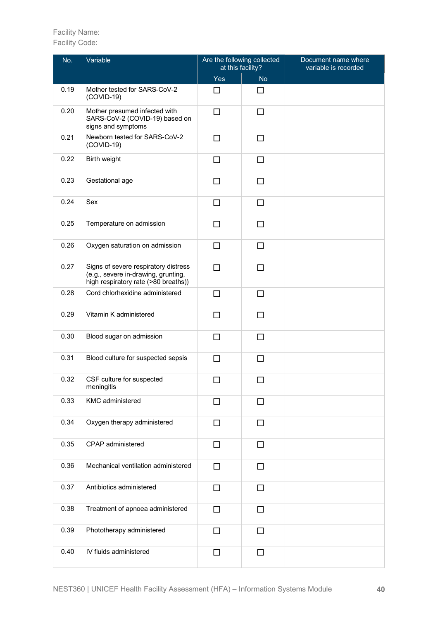| No.  | Variable                                                                                                            | Are the following collected<br>at this facility? |           | Document name where<br>variable is recorded |
|------|---------------------------------------------------------------------------------------------------------------------|--------------------------------------------------|-----------|---------------------------------------------|
|      |                                                                                                                     | Yes                                              | <b>No</b> |                                             |
| 0.19 | Mother tested for SARS-CoV-2<br>$(COVID-19)$                                                                        | □                                                | П         |                                             |
| 0.20 | Mother presumed infected with<br>SARS-CoV-2 (COVID-19) based on<br>signs and symptoms                               | □                                                | □         |                                             |
| 0.21 | Newborn tested for SARS-CoV-2<br>$(COVID-19)$                                                                       | $\Box$                                           | П         |                                             |
| 0.22 | Birth weight                                                                                                        | □                                                | □         |                                             |
| 0.23 | Gestational age                                                                                                     | □                                                | $\Box$    |                                             |
| 0.24 | Sex                                                                                                                 | □                                                | $\Box$    |                                             |
| 0.25 | Temperature on admission                                                                                            | □                                                | $\Box$    |                                             |
| 0.26 | Oxygen saturation on admission                                                                                      | □                                                | □         |                                             |
| 0.27 | Signs of severe respiratory distress<br>(e.g., severe in-drawing, grunting,<br>high respiratory rate (>80 breaths)) | $\Box$                                           | □         |                                             |
| 0.28 | Cord chlorhexidine administered                                                                                     | □                                                | $\Box$    |                                             |
| 0.29 | Vitamin K administered                                                                                              | П                                                | □         |                                             |
| 0.30 | Blood sugar on admission                                                                                            | П                                                | □         |                                             |
| 0.31 | Blood culture for suspected sepsis                                                                                  | $\Box$                                           | $\Box$    |                                             |
| 0.32 | CSF culture for suspected<br>meningitis                                                                             | □                                                | □         |                                             |
| 0.33 | <b>KMC</b> administered                                                                                             | П                                                | П         |                                             |
| 0.34 | Oxygen therapy administered                                                                                         | □                                                | $\Box$    |                                             |
| 0.35 | CPAP administered                                                                                                   | □                                                | □         |                                             |
| 0.36 | Mechanical ventilation administered                                                                                 | $\Box$                                           | □         |                                             |
| 0.37 | Antibiotics administered                                                                                            | п                                                | □         |                                             |
| 0.38 | Treatment of apnoea administered                                                                                    | П                                                | □         |                                             |
| 0.39 | Phototherapy administered                                                                                           | П                                                | П         |                                             |
| 0.40 | IV fluids administered                                                                                              | □                                                | $\Box$    |                                             |